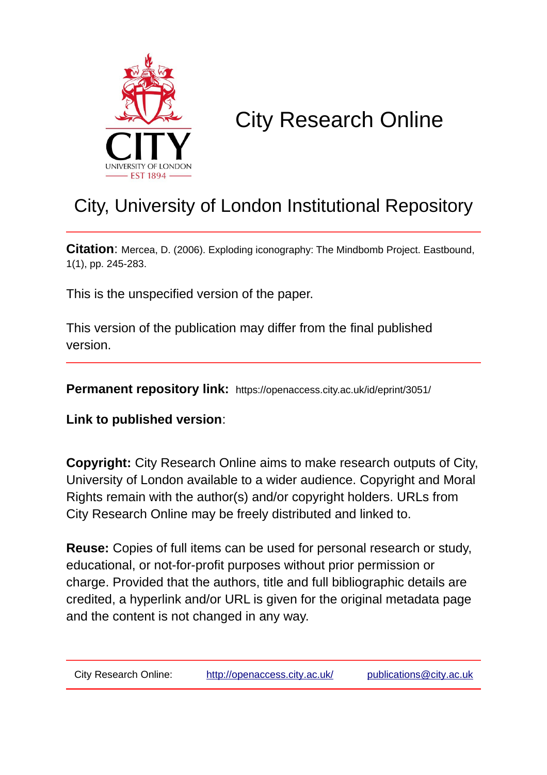

# City Research Online

## City, University of London Institutional Repository

**Citation**: Mercea, D. (2006). Exploding iconography: The Mindbomb Project. Eastbound, 1(1), pp. 245-283.

This is the unspecified version of the paper.

This version of the publication may differ from the final published version.

**Permanent repository link:** https://openaccess.city.ac.uk/id/eprint/3051/

**Link to published version**:

**Copyright:** City Research Online aims to make research outputs of City, University of London available to a wider audience. Copyright and Moral Rights remain with the author(s) and/or copyright holders. URLs from City Research Online may be freely distributed and linked to.

**Reuse:** Copies of full items can be used for personal research or study, educational, or not-for-profit purposes without prior permission or charge. Provided that the authors, title and full bibliographic details are credited, a hyperlink and/or URL is given for the original metadata page and the content is not changed in any way.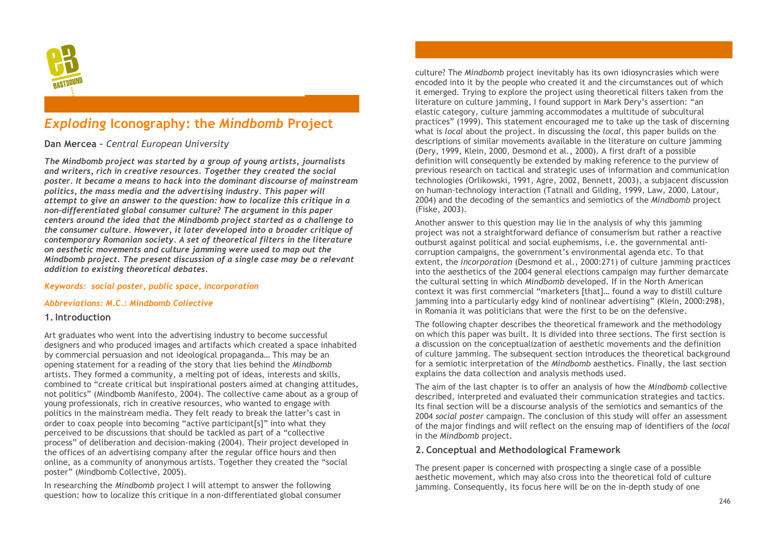

## *Exploding* **Iconography: the** *Mindbomb* **Project**

#### **Dan Mercea –** *Central European University*

*The Mindbomb project was started by a group of young artists, journalists and writers, rich in creative resources. Together they created the social poster. It became a means to hack into the dominant discourse of mainstream politics, the mass media and the advertising industry. This paper will attempt to give an answer to the question: how to localize this critique in a non-differentiated global consumer culture? The argument in this paper centers around the idea that the Mindbomb project started as a challenge to the consumer culture. However, it later developed into a broader critique of contemporary Romanian society. A set of theoretical filters in the literature on aesthetic movements and culture jamming were used to map out the Mindbomb project. The present discussion of a single case may be a relevant addition to existing theoretical debates.*

#### *Keywords: social poster, public space, incorporation*

#### *Abbreviations: M.C.: Mindbomb Collective*

#### **1.Introduction**

Art graduates who went into the advertising industry to become successful designers and who produced images and artifacts which created a space inhabited by commercial persuasion and not ideological propaganda… This may be an opening statement for a reading of the story that lies behind the *Mindbomb* artists. They formed a community, a melting pot of ideas, interests and skills, combined to "create critical but inspirational posters aimed at changing attitudes, not politics" (Mindbomb Manifesto, 2004). The collective came about as a group of young professionals, rich in creative resources, who wanted to engage with politics in the mainstream media. They felt ready to break the latter's cast in order to coax people into becoming "active participant[s]" into what they perceived to be discussions that should be tackled as part of a "collective process" of deliberation and decision-making (2004). Their project developed in the offices of an advertising company after the regular office hours and then online, as a community of anonymous artists. Together they created the "social poster" (Mindbomb Collective, 2005).

In researching the *Mindbomb* project I will attempt to answer the following question: how to localize this critique in a non-differentiated global consumer

culture? The *Mindbomb* project inevitably has its own idiosyncrasies which were encoded into it by the people who created it and the circumstances out of which it emerged. Trying to explore the project using theoretical filters taken from the literature on culture jamming, I found support in Mark Dery's assertion: "an elastic category, culture jamming accommodates a multitude of subcultural practices" (1999). This statement encouraged me to take up the task of discerning what is *local* about the project. In discussing the *local*, this paper builds on the descriptions of similar movements available in the literature on culture jamming (Dery, 1999, Klein, 2000, Desmond et al., 2000). A first draft of a possible definition will consequently be extended by making reference to the purview of previous research on tactical and strategic uses of information and communication technologies (Orlikowski, 1991, Agre, 2002, Bennett, 2003), a subjacent discussion on human-technology interaction (Tatnall and Gilding, 1999, Law, 2000, Latour, 2004) and the decoding of the semantics and semiotics of the *Mindbomb* project (Fiske, 2003).

Another answer to this question may lie in the analysis of why this jamming project was not a straightforward defiance of consumerism but rather a reactive outburst against political and social euphemisms, i.e. the governmental anticorruption campaigns, the government's environmental agenda etc. To that extent, the *incorporation* (Desmond et al., 2000:271) of culture jamming practices into the aesthetics of the 2004 general elections campaign may further demarcate the cultural setting in which *Mindbomb* developed. If in the North American context it was first commercial "marketers [that]… found a way to distill culture jamming into a particularly edgy kind of nonlinear advertising" (Klein, 2000:298), in Romania it was politicians that were the first to be on the defensive.

The following chapter describes the theoretical framework and the methodology on which this paper was built. It is divided into three sections. The first section is a discussion on the conceptualization of aesthetic movements and the definition of culture jamming. The subsequent section introduces the theoretical background for a semiotic interpretation of the *Mindbomb* aesthetics. Finally, the last section explains the data collection and analysis methods used.

The aim of the last chapter is to offer an analysis of how the *Mindbomb* collective described, interpreted and evaluated their communication strategies and tactics. Its final section will be a discourse analysis of the semiotics and semantics of the 2004 *social poster* campaign. The conclusion of this study will offer an assessment of the major findings and will reflect on the ensuing map of identifiers of the *local* in the *Mindbomb* project.

#### **2. Conceptual and Methodological Framework**

The present paper is concerned with prospecting a single case of a possible aesthetic movement, which may also cross into the theoretical fold of culture iamming. Consequently, its focus here will be on the in-depth study of one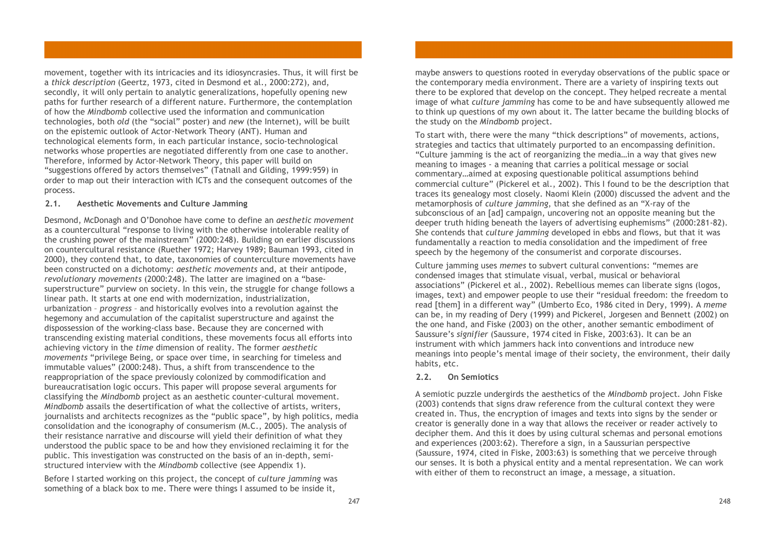movement, together with its intricacies and its idiosyncrasies. Thus, it will first be a *thick description* (Geertz, 1973, cited in Desmond et al., 2000:272), and, secondly, it will only pertain to analytic generalizations, hopefully opening new paths for further research of a different nature. Furthermore, the contemplation of how the *Mindbomb* collective used the information and communication technologies, both *old* (the "social" poster) and *new* (the Internet), will be built on the epistemic outlook of Actor-Network Theory (ANT). Human and technological elements form, in each particular instance, socio-technological networks whose properties are negotiated differently from one case to another. Therefore, informed by Actor-Network Theory, this paper will build on "suggestions offered by actors themselves" (Tatnall and Gilding, 1999:959) in order to map out their interaction with ICTs and the consequent outcomes of the process.

#### **2.1. Aesthetic Movements and Culture Jamming**

Desmond, McDonagh and O'Donohoe have come to define an *aesthetic movement* as a countercultural "response to living with the otherwise intolerable reality of the crushing power of the mainstream" (2000:248). Building on earlier discussions on countercultural resistance (Ruether 1972; Harvey 1989; Bauman 1993, cited in 2000), they contend that, to date, taxonomies of counterculture movements have been constructed on a dichotomy: *aesthetic movements* and, at their antipode, *revolutionary movements* (2000:248). The latter are imagined on a "basesuperstructure" purview on society. In this vein, the struggle for change follows a linear path. It starts at one end with modernization, industrialization, urbanization – *progress* – and historically evolves into a revolution against the hegemony and accumulation of the capitalist superstructure and against the dispossession of the working-class base. Because they are concerned with transcending existing material conditions, these movements focus all efforts into achieving victory in the *time* dimension of reality. The former *aesthetic movements* "privilege Being, or space over time, in searching for timeless and immutable values" (2000:248). Thus, a shift from transcendence to the reappropriation of the space previously colonized by commodification and bureaucratisation logic occurs. This paper will propose several arguments for classifying the *Mindbomb* project as an aesthetic counter-cultural movement. *Mindbomb* assails the desertification of what the collective of artists, writers, journalists and architects recognizes as the "public space", by high politics, media consolidation and the iconography of consumerism (M.C., 2005). The analysis of their resistance narrative and discourse will yield their definition of what they understood the public space to be and how they envisioned reclaiming it for the public. This investigation was constructed on the basis of an in-depth, semistructured interview with the *Mindbomb* collective (see Appendix 1).

Before I started working on this project, the concept of *culture jamming* was something of a black box to me. There were things I assumed to be inside it,

maybe answers to questions rooted in everyday observations of the public space or the contemporary media environment. There are a variety of inspiring texts out there to be explored that develop on the concept. They helped recreate a mental image of what *culture jamming* has come to be and have subsequently allowed me to think up questions of my own about it. The latter became the building blocks of the study on the *Mindbomb* project.

To start with, there were the many "thick descriptions" of movements, actions, strategies and tactics that ultimately purported to an encompassing definition. "Culture jamming is the act of reorganizing the media…in a way that gives new meaning to images - a meaning that carries a political message or social commentary…aimed at exposing questionable political assumptions behind commercial culture" (Pickerel et al., 2002). This I found to be the description that traces its genealogy most closely. Naomi Klein (2000) discussed the advent and the metamorphosis of *culture jamming*, that she defined as an "X-ray of the subconscious of an [ad] campaign, uncovering not an opposite meaning but the deeper truth hiding beneath the layers of advertising euphemisms" (2000:281-82). She contends that *culture jamming* developed in ebbs and flows, but that it was fundamentally a reaction to media consolidation and the impediment of free speech by the hegemony of the consumerist and corporate discourses.

Culture jamming uses *memes* to subvert cultural conventions: "memes are condensed images that stimulate visual, verbal, musical or behavioral associations" (Pickerel et al., 2002). Rebellious memes can liberate signs (logos, images, text) and empower people to use their "residual freedom: the freedom to read [them] in a different way" (Umberto Eco, 1986 cited in Dery, 1999). A *meme* can be, in my reading of Dery (1999) and Pickerel, Jorgesen and Bennett (2002) on the one hand, and Fiske (2003) on the other, another semantic embodiment of Saussure's *signifier* (Saussure, 1974 cited in Fiske, 2003:63). It can be an instrument with which jammers hack into conventions and introduce new meanings into people's mental image of their society, the environment, their daily habits, etc.

#### **2.2. On Semiotics**

A semiotic puzzle undergirds the aesthetics of the *Mindbomb* project. John Fiske (2003) contends that signs draw reference from the cultural context they were created in. Thus, the encryption of images and texts into signs by the sender or creator is generally done in a way that allows the receiver or reader actively to decipher them. And this it does by using cultural schemas and personal emotions and experiences (2003:62). Therefore a sign, in a Saussurian perspective (Saussure, 1974, cited in Fiske, 2003:63) is something that we perceive through our senses. It is both a physical entity and a mental representation. We can work with either of them to reconstruct an image, a message, a situation.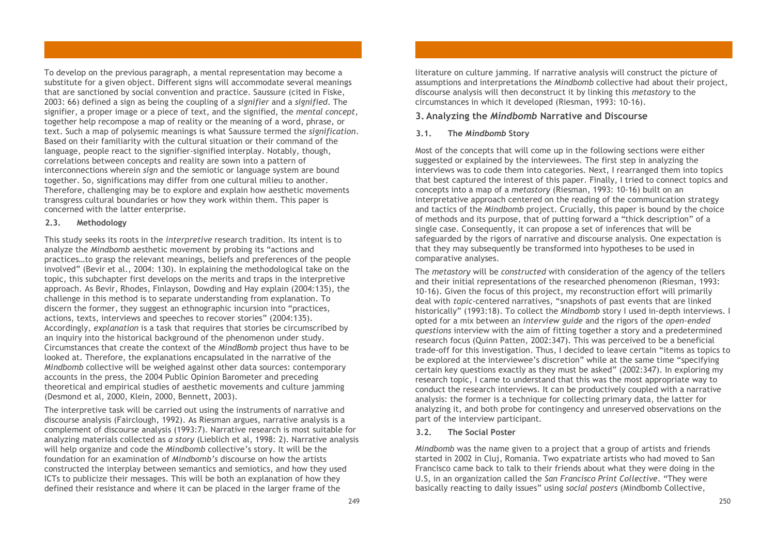To develop on the previous paragraph, a mental representation may become a substitute for a given object. Different signs will accommodate several meanings that are sanctioned by social convention and practice. Saussure (cited in Fiske, 2003: 66) defined a sign as being the coupling of a *signifier* and a *signified*. The signifier, a proper image or a piece of text, and the signified, the *mental concept*, together help recompose a map of reality or the meaning of a word, phrase, or text. Such a map of polysemic meanings is what Saussure termed the *signification*. Based on their familiarity with the cultural situation or their command of the language, people react to the signifier-signified interplay. Notably, though, correlations between concepts and reality are sown into a pattern of interconnections wherein *sign* and the semiotic or language system are bound together. So, significations may differ from one cultural milieu to another. Therefore, challenging may be to explore and explain how aesthetic movements transgress cultural boundaries or how they work within them. This paper is concerned with the latter enterprise.

#### **2.3. Methodology**

This study seeks its roots in the *interpretive* research tradition. Its intent is to analyze the *Mindbomb* aesthetic movement by probing its "actions and practices…to grasp the relevant meanings, beliefs and preferences of the people involved" (Bevir et al., 2004: 130). In explaining the methodological take on the topic, this subchapter first develops on the merits and traps in the interpretive approach. As Bevir, Rhodes, Finlayson, Dowding and Hay explain (2004:135), the challenge in this method is to separate understanding from explanation. To discern the former, they suggest an ethnographic incursion into "practices, actions, texts, interviews and speeches to recover stories" (2004:135). Accordingly, *explanation* is a task that requires that stories be circumscribed by an inquiry into the historical background of the phenomenon under study. Circumstances that create the context of the *MindBomb* project thus have to be looked at. Therefore, the explanations encapsulated in the narrative of the *Mindbomb* collective will be weighed against other data sources: contemporary accounts in the press, the 2004 Public Opinion Barometer and preceding theoretical and empirical studies of aesthetic movements and culture jamming (Desmond et al, 2000, Klein, 2000, Bennett, 2003).

The interpretive task will be carried out using the instruments of narrative and discourse analysis (Fairclough, 1992). As Riesman argues, narrative analysis is a complement of discourse analysis (1993:7). Narrative research is most suitable for analyzing materials collected as *a story* (Lieblich et al, 1998: 2). Narrative analysis will help organize and code the *Mindbomb* collective's story. It will be the foundation for an examination of *Mindbomb's* discourse on how the artists constructed the interplay between semantics and semiotics, and how they used ICTs to publicize their messages. This will be both an explanation of how they defined their resistance and where it can be placed in the larger frame of the

literature on culture jamming. If narrative analysis will construct the picture of assumptions and interpretations the *Mindbomb* collective had about their project, discourse analysis will then deconstruct it by linking this *metastory* to the circumstances in which it developed (Riesman, 1993: 10-16).

#### **3. Analyzing the** *Mindbomb* **Narrative and Discourse**

#### **3.1. The** *Mindbomb* **Story**

Most of the concepts that will come up in the following sections were either suggested or explained by the interviewees. The first step in analyzing the interviews was to code them into categories. Next, I rearranged them into topics that best captured the interest of this paper. Finally, I tried to connect topics and concepts into a map of a *metastory* (Riesman, 1993: 10-16) built on an interpretative approach centered on the reading of the communication strategy and tactics of the *Mindbomb* project. Crucially, this paper is bound by the choice of methods and its purpose, that of putting forward a "thick description" of a single case. Consequently, it can propose a set of inferences that will be safeguarded by the rigors of narrative and discourse analysis. One expectation is that they may subsequently be transformed into hypotheses to be used in comparative analyses.

The *metastory* will be *constructed* with consideration of the agency of the tellers and their initial representations of the researched phenomenon (Riesman, 1993: 10-16). Given the focus of this project, my reconstruction effort will primarily deal with *topic-*centered narratives, "snapshots of past events that are linked historically" (1993:18). To collect the *Mindbomb* story I used in-depth interviews. I opted for a mix between an *interview guide* and the rigors of the *open-ended questions* interview with the aim of fitting together a story and a predetermined research focus (Quinn Patten, 2002:347). This was perceived to be a beneficial trade-off for this investigation. Thus, I decided to leave certain "items as topics to be explored at the interviewee's discretion" while at the same time "specifying certain key questions exactly as they must be asked" (2002:347). In exploring my research topic, I came to understand that this was the most appropriate way to conduct the research interviews. It can be productively coupled with a narrative analysis: the former is a technique for collecting primary data, the latter for analyzing it, and both probe for contingency and unreserved observations on the part of the interview participant.

#### **3.2. The Social Poster**

*Mindbomb* was the name given to a project that a group of artists and friends started in 2002 in Cluj, Romania. Two expatriate artists who had moved to San Francisco came back to talk to their friends about what they were doing in the U.S, in an organization called the *San Francisco Print Collective*. "They were basically reacting to daily issues" using *social posters* (Mindbomb Collective,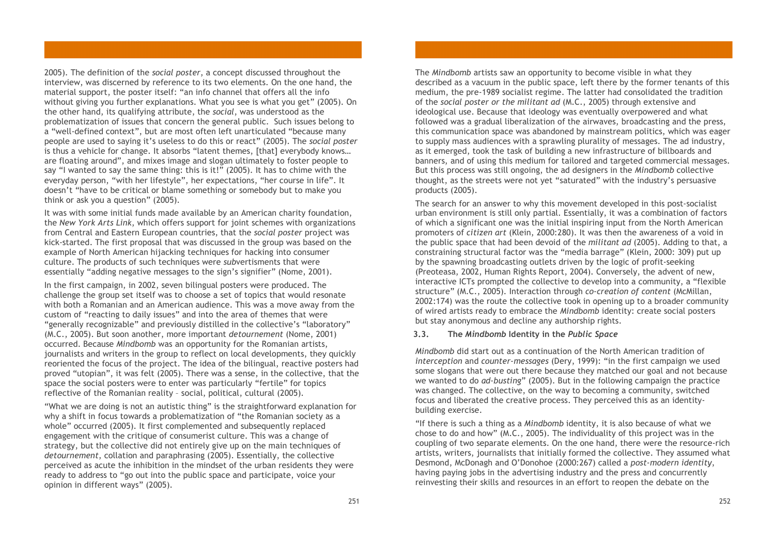2005). The definition of the *social poster*, a concept discussed throughout the interview, was discerned by reference to its two elements. On the one hand, the material support, the poster itself: "an info channel that offers all the info without giving you further explanations. What you see is what you get" (2005). On the other hand, its qualifying attribute, the *social*, was understood as the problematization of issues that concern the general public. Such issues belong to a "well-defined context", but are most often left unarticulated "because many people are used to saying it's useless to do this or react" (2005). The *social poster* is thus a vehicle for change. It absorbs "latent themes, [that] everybody knows… are floating around", and mixes image and slogan ultimately to foster people to say "I wanted to say the same thing: this is it!" (2005). It has to chime with the everyday person, "with her lifestyle", her expectations, "her course in life". It doesn't "have to be critical or blame something or somebody but to make you think or ask you a question" (2005).

It was with some initial funds made available by an American charity foundation, the *New York Arts Link*, which offers support for joint schemes with organizations from Central and Eastern European countries, that the *social poster* project was kick-started. The first proposal that was discussed in the group was based on the example of North American hijacking techniques for hacking into consumer culture. The products of such techniques were *sub*vertisments that were essentially "adding negative messages to the sign's signifier" (Nome, 2001).

In the first campaign, in 2002, seven bilingual posters were produced. The challenge the group set itself was to choose a set of topics that would resonate with both a Romanian and an American audience. This was a move away from the custom of "reacting to daily issues" and into the area of themes that were "generally recognizable" and previously distilled in the collective's "laboratory" (M.C., 2005). But soon another, more important *detournement* (Nome, 2001) occurred. Because *Mindbomb* was an opportunity for the Romanian artists, journalists and writers in the group to reflect on local developments, they quickly reoriented the focus of the project. The idea of the bilingual, reactive posters had proved "utopian", it was felt (2005). There was a sense, in the collective, that the space the social posters were to enter was particularly "fertile" for topics reflective of the Romanian reality – social, political, cultural (2005).

"What we are doing is not an autistic thing" is the straightforward explanation for why a shift in focus towards a problematization of "the Romanian society as a whole" occurred (2005). It first complemented and subsequently replaced engagement with the critique of consumerist culture. This was a change of strategy, but the collective did not entirely give up on the main techniques of *detournement*, collation and paraphrasing (2005). Essentially, the collective perceived as acute the inhibition in the mindset of the urban residents they were ready to address to "go out into the public space and participate, voice your opinion in different ways" (2005).

The *Mindbomb* artists saw an opportunity to become visible in what they described as a vacuum in the public space, left there by the former tenants of this medium, the pre-1989 socialist regime. The latter had consolidated the tradition of the *social poster or the militant ad* (M.C., 2005) through extensive and ideological use. Because that ideology was eventually overpowered and what followed was a gradual liberalization of the airwaves, broadcasting and the press, this communication space was abandoned by mainstream politics, which was eager to supply mass audiences with a sprawling plurality of messages. The ad industry, as it emerged, took the task of building a new infrastructure of billboards and banners, and of using this medium for tailored and targeted commercial messages. But this process was still ongoing, the ad designers in the *Mindbomb* collective thought, as the streets were not yet "saturated" with the industry's persuasive products (2005).

The search for an answer to why this movement developed in this post-socialist urban environment is still only partial. Essentially, it was a combination of factors of which a significant one was the initial inspiring input from the North American promoters of *citizen art* (Klein, 2000:280). It was then the awareness of a void in the public space that had been devoid of the *militant ad* (2005). Adding to that, a constraining structural factor was the "media barrage" (Klein, 2000: 309) put up by the spawning broadcasting outlets driven by the logic of profit-seeking (Preoteasa, 2002, Human Rights Report, 2004). Conversely, the advent of new, interactive ICTs prompted the collective to develop into a community, a "flexible structure" (M.C., 2005). Interaction through *co-creation of content* (McMillan, 2002:174) was the route the collective took in opening up to a broader community of wired artists ready to embrace the *Mindbomb* identity: create social posters but stay anonymous and decline any authorship rights.

#### **3.3. The** *Mindbomb* **Identity in the** *Public Space*

*Mindbomb* did start out as a continuation of the North American tradition of *interception* and *counter-messages* (Dery, 1999): "in the first campaign we used some slogans that were out there because they matched our goal and not because we wanted to do *ad-busting*" (2005). But in the following campaign the practice was changed. The collective, on the way to becoming a community, switched focus and liberated the creative process. They perceived this as an identitybuilding exercise.

"If there is such a thing as a *Mindbomb* identity, it is also because of what we chose to do and how" (M.C., 2005). The individuality of this project was in the coupling of two separate elements. On the one hand, there were the resource-rich artists, writers, journalists that initially formed the collective. They assumed what Desmond, McDonagh and O'Donohoe (2000:267) called a *post-modern identity*, having paying jobs in the advertising industry and the press and concurrently reinvesting their skills and resources in an effort to reopen the debate on the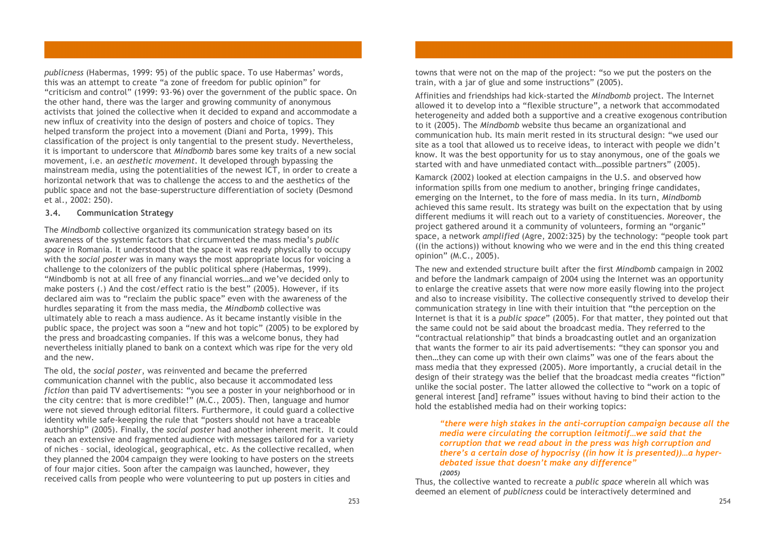*publicness* (Habermas, 1999: 95) of the public space. To use Habermas' words, this was an attempt to create "a zone of freedom for public opinion" for "criticism and control" (1999: 93-96) over the government of the public space. On the other hand, there was the larger and growing community of anonymous activists that joined the collective when it decided to expand and accommodate a new influx of creativity into the design of posters and choice of topics. They helped transform the project into a movement (Diani and Porta, 1999). This classification of the project is only tangential to the present study. Nevertheless, it is important to underscore that *Mindbomb* bares some key traits of a new social movement, i.e. an *aesthetic movement*. It developed through bypassing the mainstream media, using the potentialities of the newest ICT, in order to create a horizontal network that was to challenge the access to and the aesthetics of the public space and not the base-superstructure differentiation of society (Desmond et al., 2002: 250).

#### **3.4. Communication Strategy**

The *Mindbomb* collective organized its communication strategy based on its awareness of the systemic factors that circumvented the mass media's *public space* in Romania. It understood that the space it was ready physically to occupy with the *social poster* was in many ways the most appropriate locus for voicing a challenge to the colonizers of the public political sphere (Habermas, 1999). "Mindbomb is not at all free of any financial worries…and we've decided only to make posters (.) And the cost/effect ratio is the best" (2005). However, if its declared aim was to "reclaim the public space" even with the awareness of the hurdles separating it from the mass media, the *Mindbomb* collective was ultimately able to reach a mass audience. As it became instantly visible in the public space, the project was soon a "new and hot topic" (2005) to be explored by the press and broadcasting companies. If this was a welcome bonus, they had nevertheless initially planed to bank on a context which was ripe for the very old and the new.

The old, the *social poster*, was reinvented and became the preferred communication channel with the public, also because it accommodated less *fiction* than paid TV advertisements: "you see a poster in your neighborhood or in the city centre: that is more credible!" (M.C., 2005). Then, language and humor were not sieved through editorial filters. Furthermore, it could guard a collective identity while safe-keeping the rule that "posters should not have a traceable authorship" (2005). Finally, the *social poster* had another inherent merit. It could reach an extensive and fragmented audience with messages tailored for a variety of niches – social, ideological, geographical, etc. As the collective recalled, when they planned the 2004 campaign they were looking to have posters on the streets of four major cities. Soon after the campaign was launched, however, they received calls from people who were volunteering to put up posters in cities and

towns that were not on the map of the project: "so we put the posters on the train, with a jar of glue and some instructions" (2005).

Affinities and friendships had kick-started the *Mindbomb* project. The Internet allowed it to develop into a "flexible structure", a network that accommodated heterogeneity and added both a supportive and a creative exogenous contribution to it (2005). The *Mindbomb* website thus became an organizational and communication hub. Its main merit rested in its structural design: "we used our site as a tool that allowed us to receive ideas, to interact with people we didn't know. It was the best opportunity for us to stay anonymous, one of the goals we started with and have unmediated contact with…possible partners" (2005).

Kamarck (2002) looked at election campaigns in the U.S. and observed how information spills from one medium to another, bringing fringe candidates, emerging on the Internet, to the fore of mass media. In its turn, *Mindbomb* achieved this same result. Its strategy was built on the expectation that by using different mediums it will reach out to a variety of constituencies. Moreover, the project gathered around it a community of volunteers, forming an "organic" space, a network *amplified* (Agre, 2002:325) by the technology: "people took part ((in the actions)) without knowing who we were and in the end this thing created opinion" (M.C., 2005).

The new and extended structure built after the first *Mindbomb* campaign in 2002 and before the landmark campaign of 2004 using the Internet was an opportunity to enlarge the creative assets that were now more easily flowing into the project and also to increase visibility. The collective consequently strived to develop their communication strategy in line with their intuition that "the perception on the Internet is that it is a *public space*" (2005). For that matter, they pointed out that the same could not be said about the broadcast media. They referred to the "contractual relationship" that binds a broadcasting outlet and an organization that wants the former to air its paid advertisements: "they can sponsor you and then…they can come up with their own claims" was one of the fears about the mass media that they expressed (2005). More importantly, a crucial detail in the design of their strategy was the belief that the broadcast media creates "fiction" unlike the social poster. The latter allowed the collective to "work on a topic of general interest [and] reframe" issues without having to bind their action to the hold the established media had on their working topics:

#### *"there were high stakes in the anti-corruption campaign because all the media were circulating the* **corruption** *leitmotif…we said that the corruption that we read about in the press was high corruption and there's a certain dose of hypocrisy ((in how it is presented))…a hyperdebated issue that doesn't make any difference" (2005)*

Thus, the collective wanted to recreate a *public space* wherein all which was deemed an element of *publicness* could be interactively determined and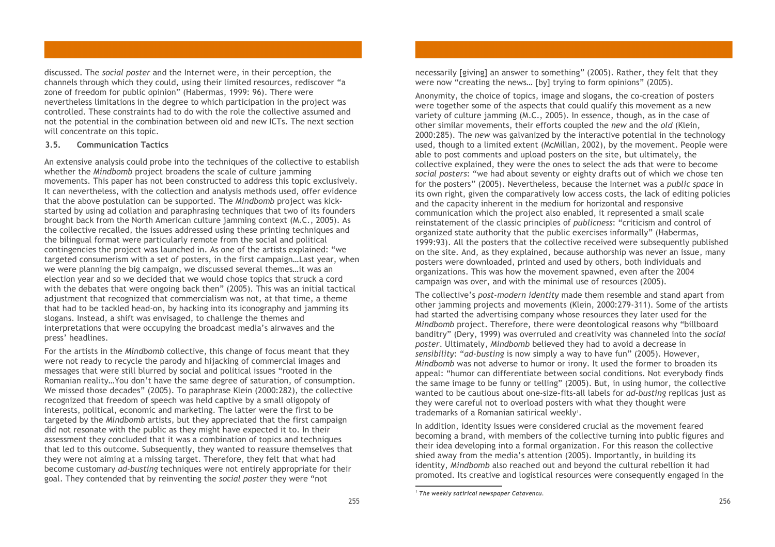discussed. The *social poster* and the Internet were, in their perception, the channels through which they could, using their limited resources, rediscover "a zone of freedom for public opinion" (Habermas, 1999: 96). There were nevertheless limitations in the degree to which participation in the project was controlled. These constraints had to do with the role the collective assumed and not the potential in the combination between old and new ICTs. The next section will concentrate on this topic.

#### **3.5. Communication Tactics**

An extensive analysis could probe into the techniques of the collective to establish whether the *Mindbomb* project broadens the scale of culture jamming movements. This paper has not been constructed to address this topic exclusively. It can nevertheless, with the collection and analysis methods used, offer evidence that the above postulation can be supported. The *Mindbomb* project was kickstarted by using ad collation and paraphrasing techniques that two of its founders brought back from the North American culture jamming context (M.C., 2005). As the collective recalled, the issues addressed using these printing techniques and the bilingual format were particularly remote from the social and political contingencies the project was launched in. As one of the artists explained: "we targeted consumerism with a set of posters, in the first campaign…Last year, when we were planning the big campaign, we discussed several themes…it was an election year and so we decided that we would chose topics that struck a cord with the debates that were ongoing back then" (2005). This was an initial tactical adjustment that recognized that commercialism was not, at that time, a theme that had to be tackled head-on, by hacking into its iconography and jamming its slogans. Instead, a shift was envisaged, to challenge the themes and interpretations that were occupying the broadcast media's airwaves and the press' headlines.

For the artists in the *Mindbomb* collective, this change of focus meant that they were not ready to recycle the parody and hijacking of commercial images and messages that were still blurred by social and political issues "rooted in the Romanian reality…You don't have the same degree of saturation, of consumption. We missed those decades" (2005). To paraphrase Klein (2000:282), the collective recognized that freedom of speech was held captive by a small oligopoly of interests, political, economic and marketing. The latter were the first to be targeted by the *Mindbomb* artists, but they appreciated that the first campaign did not resonate with the public as they might have expected it to. In their assessment they concluded that it was a combination of topics and techniques that led to this outcome. Subsequently, they wanted to reassure themselves that they were not aiming at a missing target. Therefore, they felt that what had become customary *ad-busting* techniques were not entirely appropriate for their goal. They contended that by reinventing the *social poster* they were "not

necessarily [giving] an answer to something" (2005). Rather, they felt that they were now "creating the news… [by] trying to form opinions" (2005).

Anonymity, the choice of topics, image and slogans, the co-creation of posters were together some of the aspects that could qualify this movement as a new variety of culture jamming (M.C., 2005). In essence, though, as in the case of other similar movements, their efforts coupled the *new* and the *old* (Klein, 2000:285). The *new* was galvanized by the interactive potential in the technology used, though to a limited extent (McMillan, 2002), by the movement. People were able to post comments and upload posters on the site, but ultimately, the collective explained, they were the ones to select the ads that were to become *social posters*: "we had about seventy or eighty drafts out of which we chose ten for the posters" (2005). Nevertheless, because the Internet was a *public space* in its own right, given the comparatively low access costs, the lack of editing policies and the capacity inherent in the medium for horizontal and responsive communication which the project also enabled, it represented a small scale reinstatement of the classic principles of *publicness*: "criticism and control of organized state authority that the public exercises informally" (Habermas, 1999:93). All the posters that the collective received were subsequently published on the site. And, as they explained, because authorship was never an issue, many posters were downloaded, printed and used by others, both individuals and organizations. This was how the movement spawned, even after the 2004 campaign was over, and with the minimal use of resources (2005).

The collective's *post-modern identity* made them resemble and stand apart from other jamming projects and movements (Klein, 2000:279-311). Some of the artists had started the advertising company whose resources they later used for the *Mindbomb* project. Therefore, there were deontological reasons why "billboard banditry" (Dery, 1999) was overruled and creativity was channeled into the *social poster*. Ultimately, *Mindbomb* believed they had to avoid a decrease in *sensibility*: "*ad-busting* is now simply a way to have fun" (2005). However, *Mindbomb* was not adverse to humor or irony. It used the former to broaden its appeal: "humor can differentiate between social conditions. Not everybody finds the same image to be funny or telling" (2005). But, in using humor, the collective wanted to be cautious about one-size-fits-all labels for *ad-busting* replicas just as they were careful not to overload posters with what they thought were trademarks of a Romanian satirical weekly<sup>1</sup>.

In addition, identity issues were considered crucial as the movement feared becoming a brand, with members of the collective turning into public figures and their idea developing into a formal organization. For this reason the collective shied away from the media's attention (2005). Importantly, in building its identity, *Mindbomb* also reached out and beyond the cultural rebellion it had promoted. Its creative and logistical resources were consequently engaged in the

 $\overline{a}$ *<sup>1</sup> The weekly satirical newspaper Catavencu.*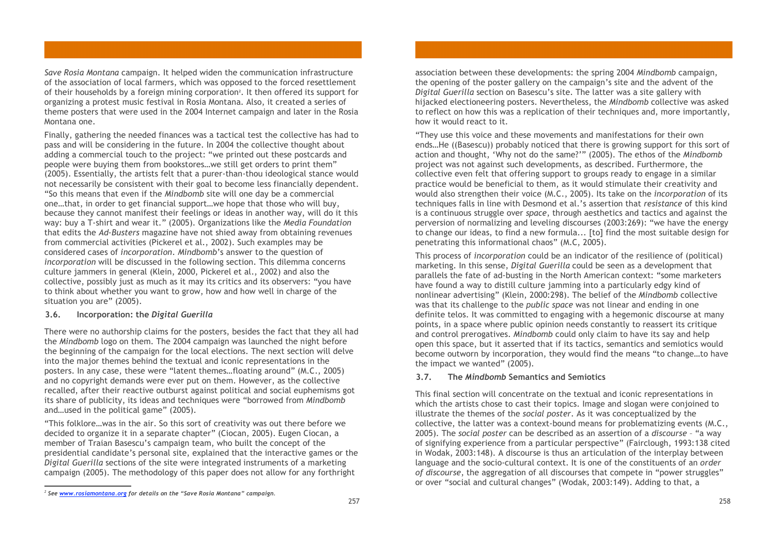*Save Rosia Montana* campaign. It helped widen the communication infrastructure of the association of local farmers, which was opposed to the forced resettlement of their households by a foreign mining corporation**<sup>2</sup>** . It then offered its support for organizing a protest music festival in Rosia Montana. Also, it created a series of theme posters that were used in the 2004 Internet campaign and later in the Rosia Montana one.

Finally, gathering the needed finances was a tactical test the collective has had to pass and will be considering in the future. In 2004 the collective thought about adding a commercial touch to the project: "we printed out these postcards and people were buying them from bookstores…we still get orders to print them" (2005). Essentially, the artists felt that a purer-than-thou ideological stance would not necessarily be consistent with their goal to become less financially dependent. "So this means that even if the *Mindbomb* site will one day be a commercial one…that, in order to get financial support…we hope that those who will buy, because they cannot manifest their feelings or ideas in another way, will do it this way: buy a T-shirt and wear it." (2005). Organizations like the *Media Foundation* that edits the *Ad-Busters* magazine have not shied away from obtaining revenues from commercial activities (Pickerel et al., 2002). Such examples may be considered cases of *incorporation*. *Mindbomb*'s answer to the question of *incorporation* will be discussed in the following section. This dilemma concerns culture jammers in general (Klein, 2000, Pickerel et al., 2002) and also the collective, possibly just as much as it may its critics and its observers: "you have to think about whether you want to grow, how and how well in charge of the situation you are" (2005).

#### **3.6. Incorporation: the** *Digital Guerilla*

There were no authorship claims for the posters, besides the fact that they all had the *Mindbomb* logo on them. The 2004 campaign was launched the night before the beginning of the campaign for the local elections. The next section will delve into the major themes behind the textual and iconic representations in the posters. In any case, these were "latent themes…floating around" (M.C., 2005) and no copyright demands were ever put on them. However, as the collective recalled, after their reactive outburst against political and social euphemisms got its share of publicity, its ideas and techniques were "borrowed from *Mindbomb* and…used in the political game" (2005).

"This folklore…was in the air. So this sort of creativity was out there before we decided to organize it in a separate chapter" (Ciocan, 2005). Eugen Ciocan, a member of Traian Basescu's campaign team, who built the concept of the presidential candidate's personal site, explained that the interactive games or the *Digital Guerilla* sections of the site were integrated instruments of a marketing campaign (2005). The methodology of this paper does not allow for any forthright

#### association between these developments: the spring 2004 *Mindbomb* campaign, the opening of the poster gallery on the campaign's site and the advent of the *Digital Guerilla* section on Basescu's site. The latter was a site gallery with hijacked electioneering posters. Nevertheless, the *Mindbomb* collective was asked to reflect on how this was a replication of their techniques and, more importantly, how it would react to it.

"They use this voice and these movements and manifestations for their own ends…He ((Basescu)) probably noticed that there is growing support for this sort of action and thought, 'Why not do the same?'" (2005). The ethos of the *Mindbomb* project was not against such developments, as described. Furthermore, the collective even felt that offering support to groups ready to engage in a similar practice would be beneficial to them, as it would stimulate their creativity and would also strengthen their voice (M.C., 2005). Its take on the *incorporation* of its techniques falls in line with Desmond et al.'s assertion that *resistance* of this kind is a continuous struggle over *space*, through aesthetics and tactics and against the perversion of normalizing and leveling discourses (2003:269): "we have the energy to change our ideas, to find a new formula... [to] find the most suitable design for penetrating this informational chaos" (M.C, 2005).

This process of *incorporation* could be an indicator of the resilience of (political) marketing. In this sense, *Digital Guerilla* could be seen as a development that parallels the fate of ad-busting in the North American context: "some marketers have found a way to distill culture jamming into a particularly edgy kind of nonlinear advertising" (Klein, 2000:298). The belief of the *Mindbomb* collective was that its challenge to the *public space* was not linear and ending in one definite telos. It was committed to engaging with a hegemonic discourse at many points, in a space where public opinion needs constantly to reassert its critique and control prerogatives. *Mindbomb* could only claim to have its say and help open this space, but it asserted that if its tactics, semantics and semiotics would become outworn by incorporation, they would find the means "to change…to have the impact we wanted" (2005).

#### **3.7. The** *Mindbomb* **Semantics and Semiotics**

This final section will concentrate on the textual and iconic representations in which the artists chose to cast their topics. Image and slogan were conjoined to illustrate the themes of the *social poster*. As it was conceptualized by the collective, the latter was a context-bound means for problematizing events (M.C., 2005). The *social poster* can be described as an assertion of a *discourse* – "a way of signifying experience from a particular perspective" (Fairclough, 1993:138 cited in Wodak, 2003:148). A discourse is thus an articulation of the interplay between language and the socio-cultural context. It is one of the constituents of an *order of discourse*, the aggregation of all discourses that compete in "power struggles" or over "social and cultural changes" (Wodak, 2003:149). Adding to that, a

 $\overline{a}$ 

*<sup>2</sup> See www.rosiamontana.org for details on the "Save Rosia Montana" campaign.*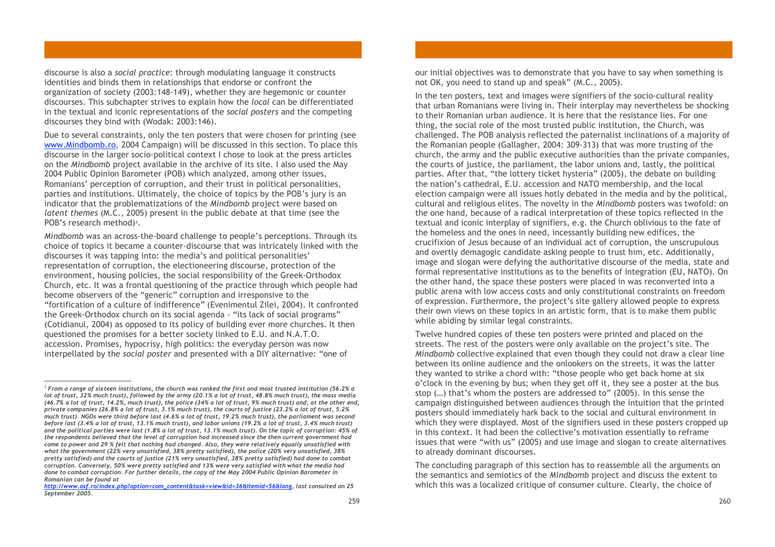discourse is also a *social practice*: through modulating language it constructs identities and binds them in relationships that endorse or confront the organization of society (2003:148-149), whether they are hegemonic or counter discourses. This subchapter strives to explain how the *local* can be differentiated in the textual and iconic representations of the *social posters* and the competing discourses they bind with (Wodak: 2003:146).

Due to several constraints, only the ten posters that were chosen for printing (see www.Mindbomb.ro, 2004 Campaign) will be discussed in this section. To place this discourse in the larger socio-political context I chose to look at the press articles on the *Mindbomb* project available in the archive of its site. I also used the May 2004 Public Opinion Barometer (POB) which analyzed, among other issues, Romanians' perception of corruption, and their trust in political personalities, parties and institutions. Ultimately, the choice of topics by the POB's jury is an indicator that the problematizations of the *Mindbomb* project were based on *latent themes* (M.C., 2005) present in the public debate at that time (see the POB's research method)<sup>3</sup>.

*Mindbomb* was an across-the-board challenge to people's perceptions. Through its choice of topics it became a counter-discourse that was intricately linked with the discourses it was tapping into: the media's and political personalities' representation of corruption, the electioneering discourse, protection of the environment, housing policies, the social responsibility of the Greek-Orthodox Church, etc. It was a frontal questioning of the practice through which people had become observers of the "generic" corruption and irresponsive to the "fortification of a culture of indifference" (Evenimentul Zilei, 2004). It confronted the Greek-Orthodox church on its social agenda - "its lack of social programs" (Cotidianul, 2004) as opposed to its policy of building ever more churches. It then questioned the promises for a better society linked to E.U. and N.A.T.O. accession. Promises, hypocrisy, high politics: the everyday person was now interpellated by the *social poster* and presented with a DIY alternative: "one of

 $\overline{a}$ 

#### our initial objectives was to demonstrate that you have to say when something is not OK, you need to stand up and speak" (M.C., 2005).

In the ten posters, text and images were signifiers of the socio-cultural reality that urban Romanians were living in. Their interplay may nevertheless be shocking to their Romanian urban audience. It is here that the resistance lies. For one thing, the social role of the most trusted public institution, the Church, was challenged. The POB analysis reflected the paternalist inclinations of a majority of the Romanian people (Gallagher, 2004: 309-313) that was more trusting of the church, the army and the public executive authorities than the private companies, the courts of justice, the parliament, the labor unions and, lastly, the political parties. After that, "the lottery ticket hysteria" (2005), the debate on building the nation's cathedral, E.U. accession and NATO membership, and the local election campaign were all issues hotly debated in the media and by the political, cultural and religious elites. The novelty in the *Mindbomb* posters was twofold: on the one hand, because of a radical interpretation of these topics reflected in the textual and iconic interplay of signifiers, e.g. the Church oblivious to the fate of the homeless and the ones in need, incessantly building new edifices, the crucifixion of Jesus because of an individual act of corruption, the unscrupulous and overtly demagogic candidate asking people to trust him, etc. Additionally, image and slogan were defying the authoritative discourse of the media, state and formal representative institutions as to the benefits of integration (EU, NATO). On the other hand, the space these posters were placed in was reconverted into a public arena with low access costs and only constitutional constraints on freedom of expression. Furthermore, the project's site gallery allowed people to express their own views on these topics in an artistic form, that is to make them public while abiding by similar legal constraints.

Twelve hundred copies of these ten posters were printed and placed on the streets. The rest of the posters were only available on the project's site. The *Mindbomb* collective explained that even though they could not draw a clear line between its online audience and the onlookers on the streets, it was the latter they wanted to strike a chord with: "those people who get back home at six o'clock in the evening by bus; when they get off it, they see a poster at the bus stop (…) that's whom the posters are addressed to" (2005). In this sense the campaign distinguished between audiences through the intuition that the printed posters should immediately hark back to the social and cultural environment in which they were displayed. Most of the signifiers used in these posters cropped up in this context. It had been the collective's motivation essentially to reframe issues that were "with us" (2005) and use image and slogan to create alternatives to already dominant discourses.

The concluding paragraph of this section has to reassemble all the arguments on the semantics and semiotics of the *Mindbomb* project and discuss the extent to which this was a localized critique of consumer culture. Clearly, the choice of

 $3$  From a range of sixteen institutions, the church was ranked the first and most trusted institution (56.2% a lot of trust, 32% much trust), followed by the army (20.1% a lot of trust, 48.8% much trust), the mass media (46.7% a lot of trust, 14.2%, much trust), the police (34% a lot of trust, 9% much trust) and, at the other end, private companies (26.8% a lot of trust, 3.1% much trust), the courts of justice (23.2% a lot of trust, 5.2% much trust). NGOs were third before last (4.6% a lot of trust, 19.2% much trust), the parliament was second before last (3.4% a lot of trust, 13.1% much trust), and labor unions (19.2% a lot of trust, 3.4% much trust) and the political parties were last (1.8% a lot of trust, 13.1% much trust). On the topic of corruption: 45% of *the respondents believed that the level of corruption had increased since the then current government had* come to power and 29 % felt that nothing had changed. Also, they were relatively equally unsatisfied with *what the government (22% very unsatisfied, 38% pretty satisfied), the police (20% very unsatisfied, 38%*  pretty satisfied) and the courts of justice (21% very unsatisfied, 38% pretty satisfied) had done to combat *corruption. Conversely, 50% were pretty satisfied and 13% were very satisfied with what the media had done to combat corruption. For further details, the copy of the May 2004 Public Opinion Barometer in Romanian can be found at*

*http://www.osf.ro/index.php?option=com\_content&task=view&id=36&Itemid=56&lang, last consulted on 25 September 2005.*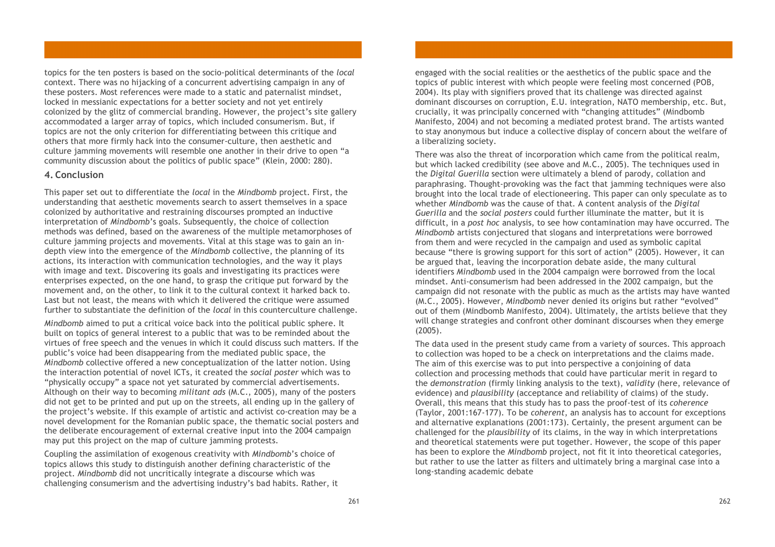topics for the ten posters is based on the socio-political determinants of the *local* context. There was no hijacking of a concurrent advertising campaign in any of these posters. Most references were made to a static and paternalist mindset, locked in messianic expectations for a better society and not yet entirely colonized by the glitz of commercial branding. However, the project's site gallery accommodated a larger array of topics, which included consumerism. But, if topics are not the only criterion for differentiating between this critique and others that more firmly hack into the consumer-culture, then aesthetic and culture jamming movements will resemble one another in their drive to open "a community discussion about the politics of public space" (Klein, 2000: 280).

#### **4. Conclusion**

This paper set out to differentiate the *local* in the *Mindbomb* project. First, the understanding that aesthetic movements search to assert themselves in a space colonized by authoritative and restraining discourses prompted an inductive interpretation of *Mindbomb*'s goals. Subsequently, the choice of collection methods was defined, based on the awareness of the multiple metamorphoses of culture jamming projects and movements. Vital at this stage was to gain an indepth view into the emergence of the *Mindbomb* collective, the planning of its actions, its interaction with communication technologies, and the way it plays with image and text. Discovering its goals and investigating its practices were enterprises expected, on the one hand, to grasp the critique put forward by the movement and, on the other, to link it to the cultural context it harked back to. Last but not least, the means with which it delivered the critique were assumed further to substantiate the definition of the *local* in this counterculture challenge.

*Mindbomb* aimed to put a critical voice back into the political public sphere. It built on topics of general interest to a public that was to be reminded about the virtues of free speech and the venues in which it could discuss such matters. If the public's voice had been disappearing from the mediated public space, the *Mindbomb* collective offered a new conceptualization of the latter notion. Using the interaction potential of novel ICTs, it created the *social poster* which was to "physically occupy" a space not yet saturated by commercial advertisements. Although on their way to becoming *militant ads* (M.C., 2005), many of the posters did not get to be printed and put up on the streets, all ending up in the gallery of the project's website. If this example of artistic and activist co-creation may be a novel development for the Romanian public space, the thematic social posters and the deliberate encouragement of external creative input into the 2004 campaign may put this project on the map of culture jamming protests.

Coupling the assimilation of exogenous creativity with *Mindbomb*'s choice of topics allows this study to distinguish another defining characteristic of the project. *Mindbomb* did not uncritically integrate a discourse which was challenging consumerism and the advertising industry's bad habits. Rather, it engaged with the social realities or the aesthetics of the public space and the topics of public interest with which people were feeling most concerned (POB, 2004). Its play with signifiers proved that its challenge was directed against dominant discourses on corruption, E.U. integration, NATO membership, etc. But, crucially, it was principally concerned with "changing attitudes" (Mindbomb Manifesto, 2004) and not becoming a mediated protest brand. The artists wanted to stay anonymous but induce a collective display of concern about the welfare of a liberalizing society.

There was also the threat of incorporation which came from the political realm, but which lacked credibility (see above and M.C., 2005). The techniques used in the *Digital Guerilla* section were ultimately a blend of parody, collation and paraphrasing. Thought-provoking was the fact that jamming techniques were also brought into the local trade of electioneering. This paper can only speculate as to whether *Mindbomb* was the cause of that. A content analysis of the *Digital Guerilla* and the *social posters* could further illuminate the matter, but it is difficult, in a *post hoc* analysis, to see how contamination may have occurred. The *Mindbomb* artists conjectured that slogans and interpretations were borrowed from them and were recycled in the campaign and used as symbolic capital because "there is growing support for this sort of action" (2005). However, it can be argued that, leaving the incorporation debate aside, the many cultural identifiers *Mindbomb* used in the 2004 campaign were borrowed from the local mindset. Anti-consumerism had been addressed in the 2002 campaign, but the campaign did not resonate with the public as much as the artists may have wanted (M.C., 2005). However, *Mindbomb* never denied its origins but rather "evolved" out of them (Mindbomb Manifesto, 2004). Ultimately, the artists believe that they will change strategies and confront other dominant discourses when they emerge (2005).

The data used in the present study came from a variety of sources. This approach to collection was hoped to be a check on interpretations and the claims made. The aim of this exercise was to put into perspective a conjoining of data collection and processing methods that could have particular merit in regard to the *demonstration* (firmly linking analysis to the text), *validity* (here, relevance of evidence) and *plausibility* (acceptance and reliability of claims) of the study. Overall, this means that this study has to pass the proof-test of its *coherence* (Taylor, 2001:167-177). To be *coherent*, an analysis has to account for exceptions and alternative explanations (2001:173). Certainly, the present argument can be challenged for the *plausibility* of its claims, in the way in which interpretations and theoretical statements were put together. However, the scope of this paper has been to explore the *Mindbomb* project, not fit it into theoretical categories, but rather to use the latter as filters and ultimately bring a marginal case into a long-standing academic debate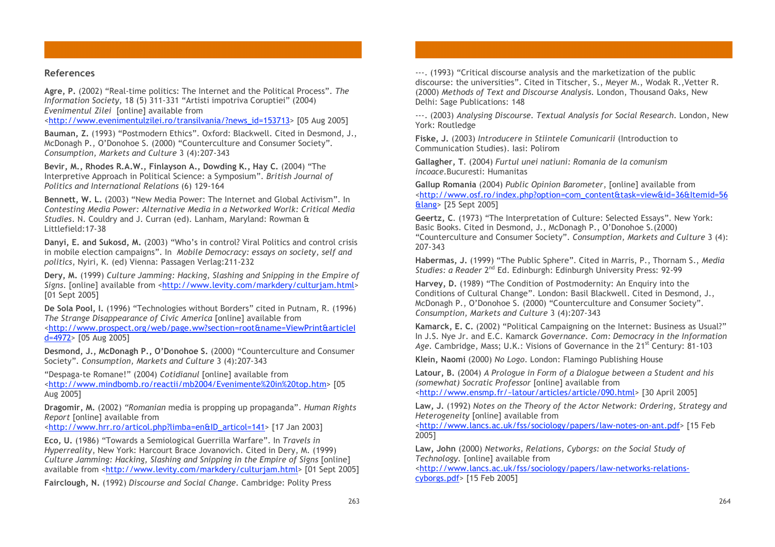#### **References**

**Agre, P.** (2002) "Real-time politics: The Internet and the Political Process". *The Information Society,* 18 (5) 311-331 "Artisti impotriva Coruptiei" (2004) *Evenimentul Zilei* [online] available from

<http://www.evenimentulzilei.ro/transilvania/?news\_id=153713> [05 Aug 2005]

**Bauman, Z.** (1993) "Postmodern Ethics". Oxford: Blackwell. Cited in Desmond, J., McDonagh P., O'Donohoe S. (2000) "Counterculture and Consumer Society". *Consumption, Markets and Culture* 3 (4):207-343

**Bevir, M., Rhodes R.A.W., Finlayson A., Dowding K., Hay C.** (2004) "The Interpretive Approach in Political Science: a Symposium". *British Journal of Politics and International Relations* (6) 129-164

**Bennett, W. L.** (2003) "New Media Power: The Internet and Global Activism". In *Contesting Media Power: Alternative Media in a Networked Worlk: Critical Media Studies*. N. Couldry and J. Curran (ed). Lanham, Maryland: Rowman & Littlefield:17-38

**Danyi, E. and Sukosd, M.** (2003) "Who's in control? Viral Politics and control crisis in mobile election campaigns". In *Mobile Democracy: essays on society, self and politics*, Nyiri, K. (ed) Vienna: Passagen Verlag:211-232

**Dery, M.** (1999) *Culture Jamming: Hacking, Slashing and Snipping in the Empire of Signs*. [online] available from <http://www.levity.com/markdery/culturjam.html> [01 Sept 2005]

**De Sola Pool, I.** (1996) "Technologies without Borders" cited in Putnam, R. (1996) *The Strange Disappearance of Civic America* [online] available from

<http://www.prospect.org/web/page.ww?section=root&name=ViewPrint&articleI d=4972> [05 Aug 2005]

**Desmond, J., McDonagh P., O'Donohoe S.** (2000) "Counterculture and Consumer Society". *Consumption, Markets and Culture* 3 (4):207-343

"Despaga-te Romane!" (2004) *Cotidianul* [online] available from <http://www.mindbomb.ro/reactii/mb2004/Evenimente%20in%20top.htm> [05 Aug 2005]

**Dragomir, M.** (2002) *"Romanian* media is propping up propaganda". *Human Rights Report* [online] available from

<http://www.hrr.ro/articol.php?limba=en&ID\_articol=141> [17 Jan 2003]

**Eco, U.** (1986) "Towards a Semiological Guerrilla Warfare". In *Travels in Hyperreality*, New York: Harcourt Brace Jovanovich. Cited in Dery, M. (1999) *Culture Jamming: Hacking, Slashing and Snipping in the Empire of Signs* [online] available from <http://www.levity.com/markdery/culturiam.html> [01 Sept 2005]

**Fairclough, N.** (1992) *Discourse and Social Change.* Cambridge: Polity Press

---. (1993) "Critical discourse analysis and the marketization of the public discourse: the universities". Cited in Titscher, S., Meyer M., Wodak R.,Vetter R. (2000) *Methods of Text and Discourse Analysis.* London, Thousand Oaks, New Delhi: Sage Publications: 148

---. (2003) *Analysing Discourse. Textual Analysis for Social Research*. London, New York: Routledge

**Fiske, J.** (2003) *Introducere in Stiintele Comunicarii* (Introduction to Communication Studies). Iasi: Polirom

**Gallagher, T**. (2004) *Furtul unei natiuni: Romania de la comunism incoace*.Bucuresti: Humanitas

**Gallup Romania** (2004) *Public Opinion Barometer*, [online] available from <http://www.osf.ro/index.php?option=com\_content&task=view&id=36&Itemid=56 &lang> [25 Sept 2005]

**Geertz, C**. (1973) "The Interpretation of Culture: Selected Essays". New York: Basic Books. Cited in Desmond, J., McDonagh P., O'Donohoe S.(2000) "Counterculture and Consumer Society". *Consumption, Markets and Culture* 3 (4): 207-343

**Habermas, J.** (1999) "The Public Sphere". Cited in Marris, P., Thornam S., *Media* Studies: *a Reader* 2<sup>nd</sup> Ed. Edinburgh: Edinburgh University Press: 92-99

**Harvey, D.** (1989) "The Condition of Postmodernity: An Enquiry into the Conditions of Cultural Change". London: Basil Blackwell. Cited in Desmond, J., McDonagh P., O'Donohoe S. (2000) "Counterculture and Consumer Society". *Consumption, Markets and Culture* 3 (4):207-343

**Kamarck, E. C.** (2002) "Political Campaigning on the Internet: Business as Usual?" In J.S. Nye Jr. and E.C. Kamarck *Governance. Com: Democracy in the Information* Age. Cambridge, Mass; U.K.: Visions of Governance in the 21<sup>st</sup> Century: 81-103

**Klein, Naomi** (2000) *No Logo*. London: Flamingo Publishing House

**Latour, B.** (2004) *A Prologue in Form of a Dialogue between a Student and his (somewhat) Socratic Professor* [online] available from <http://www.ensmp.fr/~latour/articles/article/090.html> [30 April 2005]

**Law, J.** (1992) *Notes on the Theory of the Actor Network: Ordering, Strategy and Heterogeneity* [online] available from

<http://www.lancs.ac.uk/fss/sociology/papers/law-notes-on-ant.pdf> [15 Feb 2005]

**Law, John** (2000) *Networks, Relations, Cyborgs: on the Social Study of Technology.* [online] available from

<http://www.lancs.ac.uk/fss/sociology/papers/law-networks-relationscyborgs.pdf> [15 Feb 2005]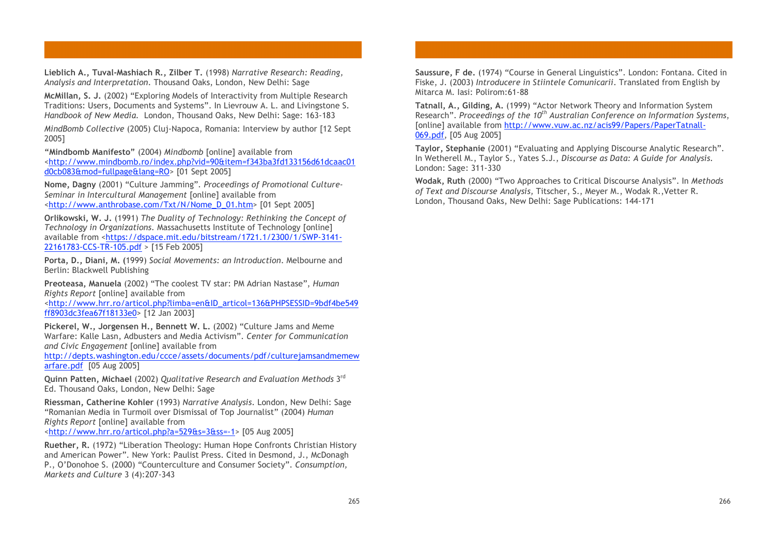**Lieblich A., Tuval-Mashiach R., Zilber T.** (1998) *Narrative Research: Reading, Analysis and Interpretation*. Thousand Oaks, London, New Delhi: Sage

**McMillan, S. J.** (2002) "Exploring Models of Interactivity from Multiple Research Traditions: Users, Documents and Systems". In Lievrouw A. L. and Livingstone S. *Handbook of New Media.* London, Thousand Oaks, New Delhi: Sage: 163-183

*MindBomb Collective* (2005) Cluj-Napoca, Romania: Interview by author [12 Sept 2005]

**"Mindbomb Manifesto"** (2004) *Mindbomb* [online] available from <http://www.mindbomb.ro/index.php?vid=90&item=f343ba3fd133156d61dcaac01 d0cb083&mod=fullpage&lang=RO> [01 Sept 2005]

**Nome, Dagny** (2001) "Culture Jamming"*. Proceedings of Promotional Culture-Seminar in Intercultural Management* [online] available from <http://www.anthrobase.com/Txt/N/Nome\_D\_01.htm> [01 Sept 2005]

**Orlikowski, W. J.** (1991) *The Duality of Technology: Rethinking the Concept of Technology in Organizations.* Massachusetts Institute of Technology [online] available from <https://dspace.mit.edu/bitstream/1721.1/2300/1/SWP-3141-22161783-CCS-TR-105.pdf > [15 Feb 2005]

**Porta, D., Diani, M. (**1999) *Social Movements: an Introduction*. Melbourne and Berlin: Blackwell Publishing

**Preoteasa, Manuela** (2002) "The coolest TV star: PM Adrian Nastase", *Human Rights Report* [online] available from

<http://www.hrr.ro/articol.php?limba=en&ID\_articol=136&PHPSESSID=9bdf4be549 ff8903dc3fea67f18133e0> [12 Jan 2003]

**Pickerel, W., Jorgensen H., Bennett W. L.** (2002) "Culture Jams and Meme Warfare: Kalle Lasn, Adbusters and Media Activism". *Center for Communication and Civic Engagement* [online] available from

http://depts.washington.edu/ccce/assets/documents/pdf/culturejamsandmemew arfare.pdf [05 Aug 2005]

**Quinn Patten, Michael** (2002) *Qualitative Research and Evaluation Methods* 3rd Ed. Thousand Oaks, London, New Delhi: Sage

**Riessman, Catherine Kohler** (1993) *Narrative Analysis*. London, New Delhi: Sage "Romanian Media in Turmoil over Dismissal of Top Journalist" (2004) *Human Rights Report* [online] available from

<http://www.hrr.ro/articol.php?a=529&s=3&ss=-1> [05 Aug 2005]

**Ruether, R.** (1972) "Liberation Theology: Human Hope Confronts Christian History and American Power". New York: Paulist Press. Cited in Desmond, J., McDonagh P., O'Donohoe S. (2000) "Counterculture and Consumer Society". *Consumption, Markets and Culture* 3 (4):207-343

**Saussure, F de.** (1974) "Course in General Linguistics". London: Fontana. Cited in Fiske, J. (2003) *Introducere in Stiintele Comunicarii*. Translated from English by Mitarca M. Iasi: Polirom:61-88

**Tatnall, A., Gilding, A.** (1999) "Actor Network Theory and Information System Research". *Proceedings of the 10th Australian Conference on Information Systems*, [online] available from http://www.vuw.ac.nz/acis99/Papers/PaperTatnall-069.pdf, [05 Aug 2005]

**Taylor, Stephanie** (2001) "Evaluating and Applying Discourse Analytic Research". In Wetherell M., Taylor S., Yates S.J., *Discourse as Data: A Guide for Analysis.* London: Sage: 311-330

**Wodak, Ruth** (2000) "Two Approaches to Critical Discourse Analysis". In *Methods of Text and Discourse Analysis,* Titscher, S., Meyer M., Wodak R.,Vetter R. London, Thousand Oaks, New Delhi: Sage Publications: 144-171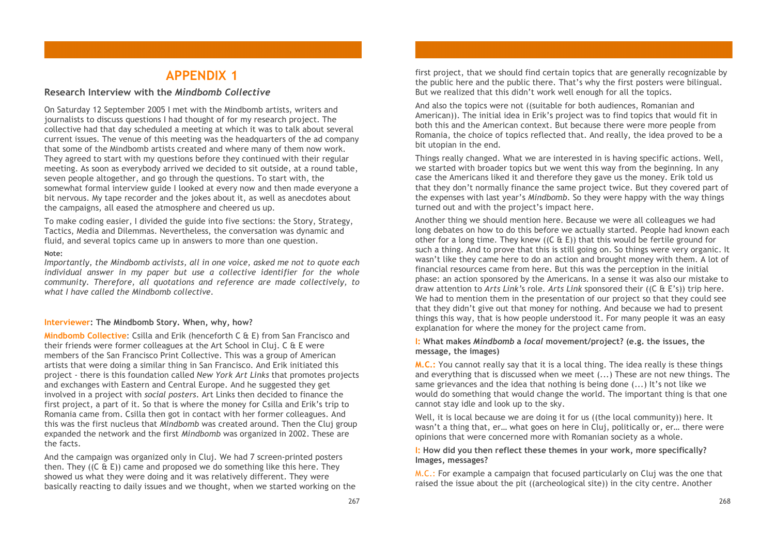### **APPENDIX 1**

#### **Research Interview with the** *Mindbomb Collective*

On Saturday 12 September 2005 I met with the Mindbomb artists, writers and journalists to discuss questions I had thought of for my research project. The collective had that day scheduled a meeting at which it was to talk about several current issues. The venue of this meeting was the headquarters of the ad company that some of the Mindbomb artists created and where many of them now work. They agreed to start with my questions before they continued with their regular meeting. As soon as everybody arrived we decided to sit outside, at a round table, seven people altogether, and go through the questions. To start with, the somewhat formal interview guide I looked at every now and then made everyone a bit nervous. My tape recorder and the jokes about it, as well as anecdotes about the campaigns, all eased the atmosphere and cheered us up.

To make coding easier, I divided the guide into five sections: the Story, Strategy, Tactics, Media and Dilemmas. Nevertheless, the conversation was dynamic and fluid, and several topics came up in answers to more than one question.

#### **Note:**

*Importantly, the Mindbomb activists, all in one voice, asked me not to quote each individual answer in my paper but use a collective identifier for the whole community. Therefore, all quotations and reference are made collectively, to what I have called the Mindbomb collective.*

#### **Interviewer: The Mindbomb Story. When, why, how?**

**Mindbomb Collective**: Csilla and Erik (henceforth C & E) from San Francisco and their friends were former colleagues at the Art School in Cluj. C & E were members of the San Francisco Print Collective. This was a group of American artists that were doing a similar thing in San Francisco. And Erik initiated this project - there is this foundation called *New York Art Links* that promotes projects and exchanges with Eastern and Central Europe. And he suggested they get involved in a project with *social posters*. Art Links then decided to finance the first project, a part of it. So that is where the money for Csilla and Erik's trip to Romania came from. Csilla then got in contact with her former colleagues. And this was the first nucleus that *Mindbomb* was created around. Then the Cluj group expanded the network and the first *Mindbomb* was organized in 2002. These are the facts.

And the campaign was organized only in Cluj. We had 7 screen-printed posters then. They  $((C \& E))$  came and proposed we do something like this here. They showed us what they were doing and it was relatively different. They were basically reacting to daily issues and we thought, when we started working on the first project, that we should find certain topics that are generally recognizable by the public here and the public there. That's why the first posters were bilingual. But we realized that this didn't work well enough for all the topics.

And also the topics were not ((suitable for both audiences, Romanian and American)). The initial idea in Erik's project was to find topics that would fit in both this and the American context. But because there were more people from Romania, the choice of topics reflected that. And really, the idea proved to be a bit utopian in the end.

Things really changed. What we are interested in is having specific actions. Well, we started with broader topics but we went this way from the beginning. In any case the Americans liked it and therefore they gave us the money. Erik told us that they don't normally finance the same project twice. But they covered part of the expenses with last year's *Mindbomb*. So they were happy with the way things turned out and with the project's impact here.

Another thing we should mention here. Because we were all colleagues we had long debates on how to do this before we actually started. People had known each other for a long time. They knew  $((C \& E))$  that this would be fertile ground for such a thing. And to prove that this is still going on. So things were very organic. It wasn't like they came here to do an action and brought money with them. A lot of financial resources came from here. But this was the perception in the initial phase: an action sponsored by the Americans. In a sense it was also our mistake to draw attention to *Arts Link'*s role. *Arts Link* sponsored their ((C & E's)) trip here. We had to mention them in the presentation of our project so that they could see that they didn't give out that money for nothing. And because we had to present things this way, that is how people understood it. For many people it was an easy explanation for where the money for the project came from.

#### **I: What makes** *Mindbomb* **a** *local* **movement/project? (e.g. the issues, the message, the images)**

**M.C.:** You cannot really say that it is a local thing. The idea really is these things and everything that is discussed when we meet (...) These are not new things. The same grievances and the idea that nothing is being done (...) It's not like we would do something that would change the world. The important thing is that one cannot stay idle and look up to the sky.

Well, it is local because we are doing it for us ((the local community)) here. It wasn't a thing that, er… what goes on here in Cluj, politically or, er… there were opinions that were concerned more with Romanian society as a whole.

#### **I: How did you then reflect these themes in your work, more specifically? Images, messages?**

M.C.: For example a campaign that focused particularly on Cluj was the one that raised the issue about the pit ((archeological site)) in the city centre. Another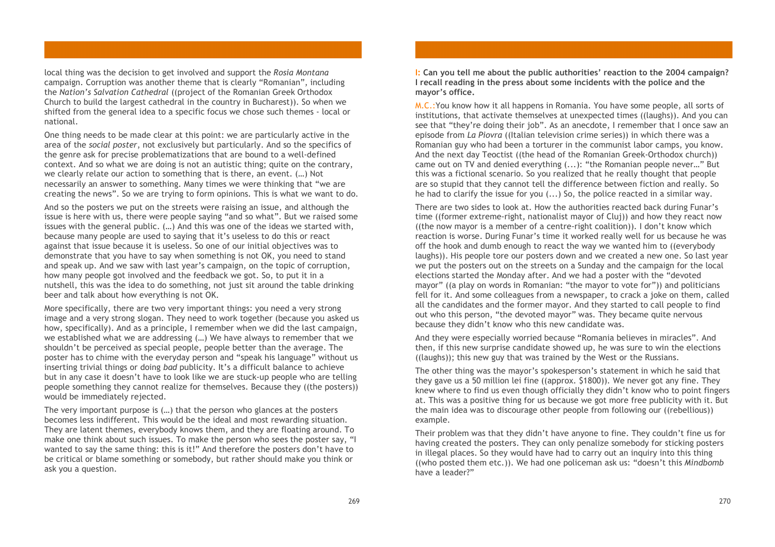local thing was the decision to get involved and support the *Rosia Montana* campaign. Corruption was another theme that is clearly "Romanian", including the *Nation's Salvation Cathedral* ((project of the Romanian Greek Orthodox Church to build the largest cathedral in the country in Bucharest)). So when we shifted from the general idea to a specific focus we chose such themes - local or national.

One thing needs to be made clear at this point: we are particularly active in the area of the *social poster*, not exclusively but particularly. And so the specifics of the genre ask for precise problematizations that are bound to a well-defined context. And so what we are doing is not an autistic thing; quite on the contrary, we clearly relate our action to something that is there, an event. (…) Not necessarily an answer to something. Many times we were thinking that "we are creating the news". So we are trying to form opinions. This is what we want to do.

And so the posters we put on the streets were raising an issue, and although the issue is here with us, there were people saying "and so what". But we raised some issues with the general public. (…) And this was one of the ideas we started with, because many people are used to saying that it's useless to do this or react against that issue because it is useless. So one of our initial objectives was to demonstrate that you have to say when something is not OK, you need to stand and speak up. And we saw with last year's campaign, on the topic of corruption, how many people got involved and the feedback we got. So, to put it in a nutshell, this was the idea to do something, not just sit around the table drinking beer and talk about how everything is not OK.

More specifically, there are two very important things: you need a very strong image and a very strong slogan. They need to work together (because you asked us how, specifically). And as a principle, I remember when we did the last campaign, we established what we are addressing (…) We have always to remember that we shouldn't be perceived as special people, people better than the average. The poster has to chime with the everyday person and "speak his language" without us inserting trivial things or doing *bad* publicity. It's a difficult balance to achieve but in any case it doesn't have to look like we are stuck-up people who are telling people something they cannot realize for themselves. Because they ((the posters)) would be immediately rejected.

The very important purpose is (…) that the person who glances at the posters becomes less indifferent. This would be the ideal and most rewarding situation. They are latent themes, everybody knows them, and they are floating around. To make one think about such issues. To make the person who sees the poster say, "I wanted to say the same thing: this is it!" And therefore the posters don't have to be critical or blame something or somebody, but rather should make you think or ask you a question.

**I: Can you tell me about the public authorities' reaction to the 2004 campaign? I recall reading in the press about some incidents with the police and the mayor's office.**

M.C.:You know how it all happens in Romania. You have some people, all sorts of institutions, that activate themselves at unexpected times ((laughs)). And you can see that "they're doing their job". As an anecdote, I remember that I once saw an episode from *La Piovra* ((Italian television crime series)) in which there was a Romanian guy who had been a torturer in the communist labor camps, you know. And the next day Teoctist ((the head of the Romanian Greek-Orthodox church)) came out on TV and denied everything (...): "the Romanian people never…" But this was a fictional scenario. So you realized that he really thought that people are so stupid that they cannot tell the difference between fiction and really. So he had to clarify the issue for you (...) So, the police reacted in a similar way.

There are two sides to look at. How the authorities reacted back during Funar's time ((former extreme-right, nationalist mayor of Cluj)) and how they react now ((the now mayor is a member of a centre-right coalition)). I don't know which reaction is worse. During Funar's time it worked really well for us because he was off the hook and dumb enough to react the way we wanted him to ((everybody laughs)). His people tore our posters down and we created a new one. So last year we put the posters out on the streets on a Sunday and the campaign for the local elections started the Monday after. And we had a poster with the "devoted mayor" ((a play on words in Romanian: "the mayor to vote for")) and politicians fell for it. And some colleagues from a newspaper, to crack a joke on them, called all the candidates and the former mayor. And they started to call people to find out who this person, "the devoted mayor" was. They became quite nervous because they didn't know who this new candidate was.

And they were especially worried because "Romania believes in miracles". And then, if this new surprise candidate showed up, he was sure to win the elections ((laughs)); this new guy that was trained by the West or the Russians.

The other thing was the mayor's spokesperson's statement in which he said that they gave us a 50 million lei fine ((approx. \$1800)). We never got any fine. They knew where to find us even though officially they didn't know who to point fingers at. This was a positive thing for us because we got more free publicity with it. But the main idea was to discourage other people from following our ((rebellious)) example.

Their problem was that they didn't have anyone to fine. They couldn't fine us for having created the posters. They can only penalize somebody for sticking posters in illegal places. So they would have had to carry out an inquiry into this thing ((who posted them etc.)). We had one policeman ask us: "doesn't this *Mindbomb* have a leader?"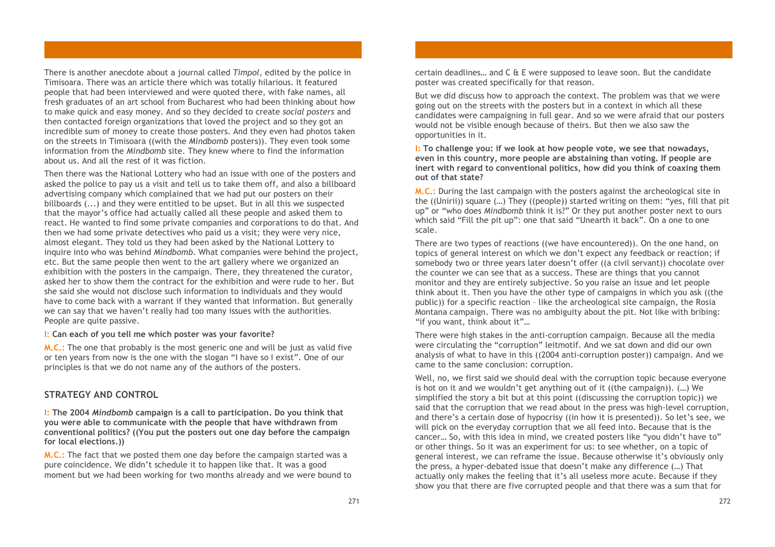There is another anecdote about a journal called *Timpol,* edited by the police in Timisoara. There was an article there which was totally hilarious. It featured people that had been interviewed and were quoted there, with fake names, all fresh graduates of an art school from Bucharest who had been thinking about how to make quick and easy money. And so they decided to create *social posters* and then contacted foreign organizations that loved the project and so they got an incredible sum of money to create those posters. And they even had photos taken on the streets in Timisoara ((with the *Mindbomb* posters)). They even took some information from the *Mindbomb* site. They knew where to find the information about us. And all the rest of it was fiction.

Then there was the National Lottery who had an issue with one of the posters and asked the police to pay us a visit and tell us to take them off, and also a billboard advertising company which complained that we had put our posters on their billboards (...) and they were entitled to be upset. But in all this we suspected that the mayor's office had actually called all these people and asked them to react. He wanted to find some private companies and corporations to do that. And then we had some private detectives who paid us a visit; they were very nice, almost elegant. They told us they had been asked by the National Lottery to inquire into who was behind *Mindbomb*. What companies were behind the project, etc. But the same people then went to the art gallery where we organized an exhibition with the posters in the campaign. There, they threatened the curator, asked her to show them the contract for the exhibition and were rude to her. But she said she would not disclose such information to individuals and they would have to come back with a warrant if they wanted that information. But generally we can say that we haven't really had too many issues with the authorities. People are quite passive.

#### **I: Can each of you tell me which poster was your favorite?**

**M.C.:** The one that probably is the most generic one and will be just as valid five or ten years from now is the one with the slogan "I have so I exist". One of our principles is that we do not name any of the authors of the posters.

#### **STRATEGY AND CONTROL**

**I: The 2004** *Mindbomb* **campaign is a call to participation. Do you think that you were able to communicate with the people that have withdrawn from conventional politics? ((You put the posters out one day before the campaign for local elections.))**

**M.C.:** The fact that we posted them one day before the campaign started was a pure coincidence. We didn't schedule it to happen like that. It was a good moment but we had been working for two months already and we were bound to certain deadlines… and C & E were supposed to leave soon. But the candidate poster was created specifically for that reason.

But we did discuss how to approach the context. The problem was that we were going out on the streets with the posters but in a context in which all these candidates were campaigning in full gear. And so we were afraid that our posters would not be visible enough because of theirs. But then we also saw the opportunities in it.

**I: To challenge you: if we look at how people vote, we see that nowadays, even in this country, more people are abstaining than voting. If people are inert with regard to conventional politics, how did you think of coaxing them out of that state?**

**M.C.:** During the last campaign with the posters against the archeological site in the ((Unirii)) square (…) They ((people)) started writing on them: "yes, fill that pit up" or "who does *Mindbomb* think it is?" Or they put another poster next to ours which said "Fill the pit up": one that said "Unearth it back". On a one to one scale.

There are two types of reactions ((we have encountered)). On the one hand, on topics of general interest on which we don't expect any feedback or reaction; if somebody two or three years later doesn't offer ((a civil servant)) chocolate over the counter we can see that as a success. These are things that you cannot monitor and they are entirely subjective. So you raise an issue and let people think about it. Then you have the other type of campaigns in which you ask ((the public)) for a specific reaction – like the archeological site campaign, the Rosia Montana campaign. There was no ambiguity about the pit. Not like with bribing: "if you want, think about it"…

There were high stakes in the anti-corruption campaign. Because all the media were circulating the "corruption" leitmotif. And we sat down and did our own analysis of what to have in this ((2004 anti-corruption poster)) campaign. And we came to the same conclusion: corruption.

Well, no, we first said we should deal with the corruption topic because everyone is hot on it and we wouldn't get anything out of it ((the campaign)). (…) We simplified the story a bit but at this point ((discussing the corruption topic)) we said that the corruption that we read about in the press was high-level corruption, and there's a certain dose of hypocrisy ((in how it is presented)). So let's see, we will pick on the everyday corruption that we all feed into. Because that is the cancer… So, with this idea in mind, we created posters like "you didn't have to" or other things. So it was an experiment for us: to see whether, on a topic of general interest, we can reframe the issue. Because otherwise it's obviously only the press, a hyper-debated issue that doesn't make any difference (…) That actually only makes the feeling that it's all useless more acute. Because if they show you that there are five corrupted people and that there was a sum that for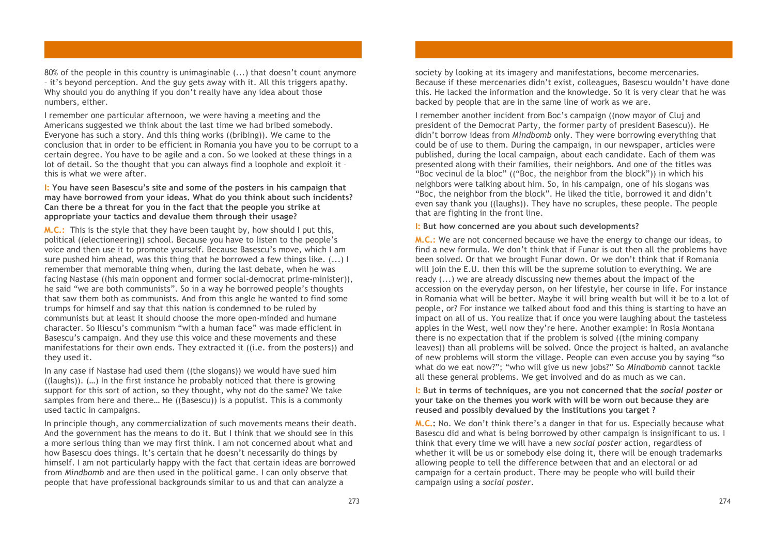80% of the people in this country is unimaginable (...) that doesn't count anymore – it's beyond perception. And the guy gets away with it. All this triggers apathy. Why should you do anything if you don't really have any idea about those numbers, either.

I remember one particular afternoon, we were having a meeting and the Americans suggested we think about the last time we had bribed somebody. Everyone has such a story. And this thing works ((bribing)). We came to the conclusion that in order to be efficient in Romania you have you to be corrupt to a certain degree. You have to be agile and a con. So we looked at these things in a lot of detail. So the thought that you can always find a loophole and exploit it – this is what we were after.

**I: You have seen Basescu's site and some of the posters in his campaign that may have borrowed from your ideas. What do you think about such incidents? Can there be a threat for you in the fact that the people you strike at appropriate your tactics and devalue them through their usage?**

**M.C.:** This is the style that they have been taught by, how should I put this, political ((electioneering)) school. Because you have to listen to the people's voice and then use it to promote yourself. Because Basescu's move, which I am sure pushed him ahead, was this thing that he borrowed a few things like.  $(...)$  I remember that memorable thing when, during the last debate, when he was facing Nastase ((his main opponent and former social-democrat prime-minister)), he said "we are both communists". So in a way he borrowed people's thoughts that saw them both as communists. And from this angle he wanted to find some trumps for himself and say that this nation is condemned to be ruled by communists but at least it should choose the more open-minded and humane character. So Iliescu's communism "with a human face" was made efficient in Basescu's campaign. And they use this voice and these movements and these manifestations for their own ends. They extracted it ((i.e. from the posters)) and they used it.

In any case if Nastase had used them ((the slogans)) we would have sued him ((laughs)). (…) In the first instance he probably noticed that there is growing support for this sort of action, so they thought, why not do the same? We take samples from here and there… He ((Basescu)) is a populist. This is a commonly used tactic in campaigns.

In principle though, any commercialization of such movements means their death. And the government has the means to do it. But I think that we should see in this a more serious thing than we may first think. I am not concerned about what and how Basescu does things. It's certain that he doesn't necessarily do things by himself. I am not particularly happy with the fact that certain ideas are borrowed from *Mindbomb* and are then used in the political game. I can only observe that people that have professional backgrounds similar to us and that can analyze a

society by looking at its imagery and manifestations, become mercenaries. Because if these mercenaries didn't exist, colleagues, Basescu wouldn't have done this. He lacked the information and the knowledge. So it is very clear that he was backed by people that are in the same line of work as we are.

I remember another incident from Boc's campaign ((now mayor of Cluj and president of the Democrat Party, the former party of president Basescu)). He didn't borrow ideas from *Mindbomb* only. They were borrowing everything that could be of use to them. During the campaign, in our newspaper, articles were published, during the local campaign, about each candidate. Each of them was presented along with their families, their neighbors. And one of the titles was "Boc vecinul de la bloc" (("Boc, the neighbor from the block")) in which his neighbors were talking about him. So, in his campaign, one of his slogans was "Boc, the neighbor from the block". He liked the title, borrowed it and didn't even say thank you ((laughs)). They have no scruples, these people. The people that are fighting in the front line.

**I: But how concerned are you about such developments?**

**M.C.:** We are not concerned because we have the energy to change our ideas, to find a new formula. We don't think that if Funar is out then all the problems have been solved. Or that we brought Funar down. Or we don't think that if Romania will ioin the E.U. then this will be the supreme solution to everything. We are ready (...) we are already discussing new themes about the impact of the accession on the everyday person, on her lifestyle, her course in life. For instance in Romania what will be better. Maybe it will bring wealth but will it be to a lot of people, or? For instance we talked about food and this thing is starting to have an impact on all of us. You realize that if once you were laughing about the tasteless apples in the West, well now they're here. Another example: in Rosia Montana there is no expectation that if the problem is solved ((the mining company leaves)) than all problems will be solved. Once the project is halted, an avalanche of new problems will storm the village. People can even accuse you by saying "so what do we eat now?"; "who will give us new jobs?" So *Mindbomb* cannot tackle all these general problems. We get involved and do as much as we can.

**I: But in terms of techniques, are you not concerned that the** *social poster* **or your take on the themes you work with will be worn out because they are reused and possibly devalued by the institutions you target ?**

**M.C.:** No. We don't think there's a danger in that for us. Especially because what Basescu did and what is being borrowed by other campaign is insignificant to us. I think that every time we will have a new *social poster* action, regardless of whether it will be us or somebody else doing it, there will be enough trademarks allowing people to tell the difference between that and an electoral or ad campaign for a certain product. There may be people who will build their campaign using a *social poster*.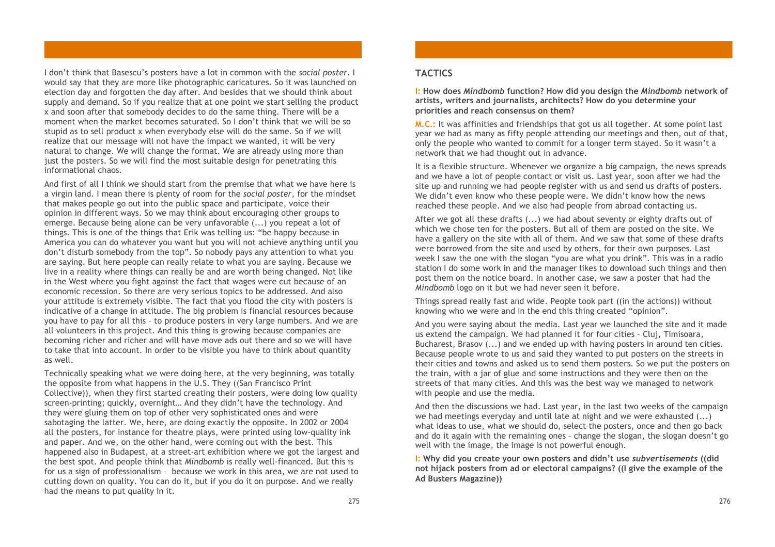I don't think that Basescu's posters have a lot in common with the *social poster*. I would say that they are more like photographic caricatures. So it was launched on election day and forgotten the day after. And besides that we should think about supply and demand. So if you realize that at one point we start selling the product x and soon after that somebody decides to do the same thing. There will be a moment when the market becomes saturated. So I don't think that we will be so stupid as to sell product x when everybody else will do the same. So if we will realize that our message will not have the impact we wanted, it will be very natural to change. We will change the format. We are already using more than just the posters. So we will find the most suitable design for penetrating this informational chaos.

And first of all I think we should start from the premise that what we have here is a virgin land. I mean there is plenty of room for the *social poster*, for the mindset that makes people go out into the public space and participate, voice their opinion in different ways. So we may think about encouraging other groups to emerge. Because being alone can be very unfavorable (...) you repeat a lot of things. This is one of the things that Erik was telling us: "be happy because in America you can do whatever you want but you will not achieve anything until you don't disturb somebody from the top". So nobody pays any attention to what you are saying. But here people can really relate to what you are saying. Because we live in a reality where things can really be and are worth being changed. Not like in the West where you fight against the fact that wages were cut because of an economic recession. So there are very serious topics to be addressed. And also your attitude is extremely visible. The fact that you flood the city with posters is indicative of a change in attitude. The big problem is financial resources because you have to pay for all this – to produce posters in very large numbers. And we are all volunteers in this project. And this thing is growing because companies are becoming richer and richer and will have move ads out there and so we will have to take that into account. In order to be visible you have to think about quantity as well.

Technically speaking what we were doing here, at the very beginning, was totally the opposite from what happens in the U.S. They ((San Francisco Print Collective)), when they first started creating their posters, were doing low quality screen-printing; quickly, overnight… And they didn't have the technology. And they were gluing them on top of other very sophisticated ones and were sabotaging the latter. We, here, are doing exactly the opposite. In 2002 or 2004 all the posters, for instance for theatre plays, were printed using low-quality ink and paper. And we, on the other hand, were coming out with the best. This happened also in Budapest, at a street-art exhibition where we got the largest and the best spot. And people think that *Mindbomb* is really well-financed. But this is for us a sign of professionalism – because we work in this area, we are not used to cutting down on quality. You can do it, but if you do it on purpose. And we really had the means to put quality in it.

#### **TACTICS**

**I: How does** *Mindbomb* **function? How did you design the** *Mindbomb* **network of artists, writers and journalists, architects? How do you determine your priorities and reach consensus on them?**

**M.C.:** It was affinities and friendships that got us all together. At some point last year we had as many as fifty people attending our meetings and then, out of that, only the people who wanted to commit for a longer term stayed. So it wasn't a network that we had thought out in advance.

It is a flexible structure. Whenever we organize a big campaign, the news spreads and we have a lot of people contact or visit us. Last year, soon after we had the site up and running we had people register with us and send us drafts of posters. We didn't even know who these people were. We didn't know how the news reached these people. And we also had people from abroad contacting us.

After we got all these drafts (...) we had about seventy or eighty drafts out of which we chose ten for the posters. But all of them are posted on the site. We have a gallery on the site with all of them. And we saw that some of these drafts were borrowed from the site and used by others, for their own purposes. Last week I saw the one with the slogan "you are what you drink". This was in a radio station I do some work in and the manager likes to download such things and then post them on the notice board. In another case, we saw a poster that had the *Mindbomb* logo on it but we had never seen it before.

Things spread really fast and wide. People took part ((in the actions)) without knowing who we were and in the end this thing created "opinion".

And you were saying about the media. Last year we launched the site and it made us extend the campaign. We had planned it for four cities – Cluj, Timisoara, Bucharest, Brasov (...) and we ended up with having posters in around ten cities. Because people wrote to us and said they wanted to put posters on the streets in their cities and towns and asked us to send them posters. So we put the posters on the train, with a jar of glue and some instructions and they were then on the streets of that many cities. And this was the best way we managed to network with people and use the media.

And then the discussions we had. Last year, in the last two weeks of the campaign we had meetings everyday and until late at night and we were exhausted (...) what ideas to use, what we should do, select the posters, once and then go back and do it again with the remaining ones – change the slogan, the slogan doesn't go well with the image, the image is not powerful enough.

**I: Why did you create your own posters and didn't use** *subvertisements* **((did not hijack posters from ad or electoral campaigns? ((I give the example of the Ad Busters Magazine))**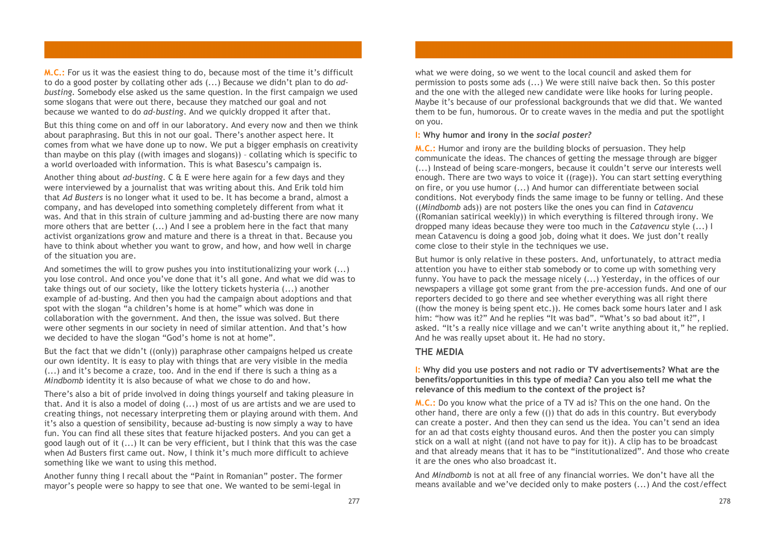**M.C.:** For us it was the easiest thing to do, because most of the time it's difficult to do a good poster by collating other ads (...) Because we didn't plan to do *adbusting.* Somebody else asked us the same question. In the first campaign we used some slogans that were out there, because they matched our goal and not because we wanted to do *ad-busting*. And we quickly dropped it after that.

But this thing come on and off in our laboratory. And every now and then we think about paraphrasing. But this in not our goal. There's another aspect here. It comes from what we have done up to now. We put a bigger emphasis on creativity than maybe on this play ((with images and slogans)) – collating which is specific to a world overloaded with information. This is what Basescu's campaign is.

Another thing about *ad-busting*. C & E were here again for a few days and they were interviewed by a journalist that was writing about this. And Erik told him that *Ad Busters* is no longer what it used to be. It has become a brand, almost a company, and has developed into something completely different from what it was. And that in this strain of culture jamming and ad-busting there are now many more others that are better (...) And I see a problem here in the fact that many activist organizations grow and mature and there is a threat in that. Because you have to think about whether you want to grow, and how, and how well in charge of the situation you are.

And sometimes the will to grow pushes you into institutionalizing your work (...) you lose control. And once you've done that it's all gone. And what we did was to take things out of our society, like the lottery tickets hysteria (...) another example of ad-busting. And then you had the campaign about adoptions and that spot with the slogan "a children's home is at home" which was done in collaboration with the government. And then, the issue was solved. But there were other segments in our society in need of similar attention. And that's how we decided to have the slogan "God's home is not at home".

But the fact that we didn't ((only)) paraphrase other campaigns helped us create our own identity. It is easy to play with things that are very visible in the media (...) and it's become a craze, too. And in the end if there is such a thing as a *Mindbomb* identity it is also because of what we chose to do and how.

There's also a bit of pride involved in doing things yourself and taking pleasure in that. And it is also a model of doing (...) most of us are artists and we are used to creating things, not necessary interpreting them or playing around with them. And it's also a question of sensibility, because ad-busting is now simply a way to have fun. You can find all these sites that feature hijacked posters. And you can get a good laugh out of it (...) It can be very efficient, but I think that this was the case when Ad Busters first came out. Now, I think it's much more difficult to achieve something like we want to using this method.

Another funny thing I recall about the "Paint in Romanian" poster. The former mayor's people were so happy to see that one. We wanted to be semi-legal in

what we were doing, so we went to the local council and asked them for permission to posts some ads (...) We were still naive back then. So this poster and the one with the alleged new candidate were like hooks for luring people. Maybe it's because of our professional backgrounds that we did that. We wanted them to be fun, humorous. Or to create waves in the media and put the spotlight on you.

**I: Why humor and irony in the** *social poster?*

**M.C.:** Humor and irony are the building blocks of persuasion. They help communicate the ideas. The chances of getting the message through are bigger (...) Instead of being scare-mongers, because it couldn't serve our interests well enough. There are two ways to voice it ((rage)). You can start setting everything on fire, or you use humor (...) And humor can differentiate between social conditions. Not everybody finds the same image to be funny or telling. And these ((*Mindbomb* ads)) are not posters like the ones you can find in *Catavencu* ((Romanian satirical weekly)) in which everything is filtered through irony. We dropped many ideas because they were too much in the *Catavencu* style (...) I mean Catavencu is doing a good job, doing what it does. We just don't really come close to their style in the techniques we use.

But humor is only relative in these posters. And, unfortunately, to attract media attention you have to either stab somebody or to come up with something very funny. You have to pack the message nicely (...) Yesterday, in the offices of our newspapers a village got some grant from the pre-accession funds. And one of our reporters decided to go there and see whether everything was all right there ((how the money is being spent etc.)). He comes back some hours later and I ask him: "how was it?" And he replies "It was bad". "What's so bad about it?", I asked. "It's a really nice village and we can't write anything about it," he replied. And he was really upset about it. He had no story.

#### **THE MEDIA**

#### **I: Why did you use posters and not radio or TV advertisements? What are the benefits/opportunities in this type of media? Can you also tell me what the relevance of this medium to the context of the project is?**

**M.C.:** Do you know what the price of a TV ad is? This on the one hand. On the other hand, there are only a few (()) that do ads in this country. But everybody can create a poster. And then they can send us the idea. You can't send an idea for an ad that costs eighty thousand euros. And then the poster you can simply stick on a wall at night ((and not have to pay for it)). A clip has to be broadcast and that already means that it has to be "institutionalized". And those who create it are the ones who also broadcast it.

And *Mindbomb* is not at all free of any financial worries. We don't have all the means available and we've decided only to make posters (...) And the cost/effect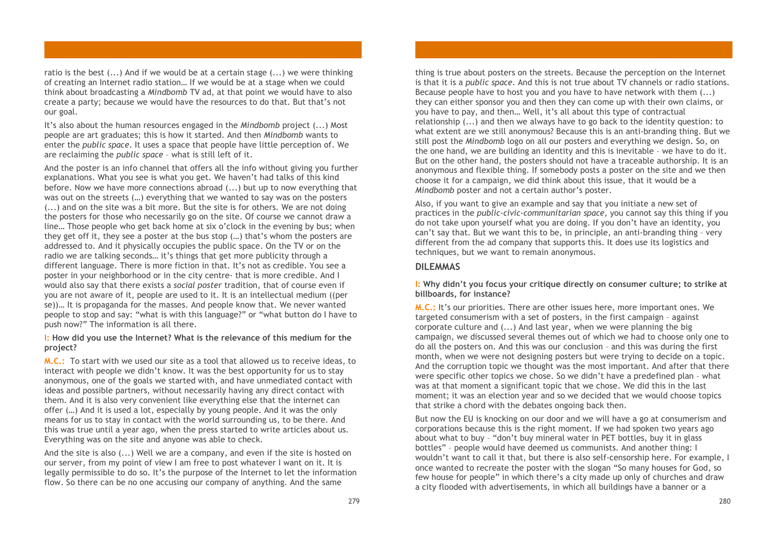ratio is the best (...) And if we would be at a certain stage (...) we were thinking of creating an Internet radio station… If we would be at a stage when we could think about broadcasting a *Mindbomb* TV ad, at that point we would have to also create a party; because we would have the resources to do that. But that's not our goal.

It's also about the human resources engaged in the *Mindbomb* project (...) Most people are art graduates; this is how it started. And then *Mindbomb* wants to enter the *public space*. It uses a space that people have little perception of. We are reclaiming the *public space* – what is still left of it.

And the poster is an info channel that offers all the info without giving you further explanations. What you see is what you get. We haven't had talks of this kind before. Now we have more connections abroad (...) but up to now everything that was out on the streets (…) everything that we wanted to say was on the posters (...) and on the site was a bit more. But the site is for others. We are not doing the posters for those who necessarily go on the site. Of course we cannot draw a line… Those people who get back home at six o'clock in the evening by bus; when they get off it, they see a poster at the bus stop (…) that's whom the posters are addressed to. And it physically occupies the public space. On the TV or on the radio we are talking seconds… it's things that get more publicity through a different language. There is more fiction in that. It's not as credible. You see a poster in your neighborhood or in the city centre- that is more credible. And I would also say that there exists a *social poster* tradition, that of course even if you are not aware of it, people are used to it. It is an intellectual medium ((per se))… It is propaganda for the masses. And people know that. We never wanted people to stop and say: "what is with this language?" or "what button do I have to push now?" The information is all there.

#### **I: How did you use the Internet? What is the relevance of this medium for the project?**

**M.C.:** To start with we used our site as a tool that allowed us to receive ideas, to interact with people we didn't know. It was the best opportunity for us to stay anonymous, one of the goals we started with, and have unmediated contact with ideas and possible partners, without necessarily having any direct contact with them. And it is also very convenient like everything else that the internet can offer (…) And it is used a lot, especially by young people. And it was the only means for us to stay in contact with the world surrounding us, to be there. And this was true until a year ago, when the press started to write articles about us. Everything was on the site and anyone was able to check.

And the site is also (...) Well we are a company, and even if the site is hosted on our server, from my point of view I am free to post whatever I want on it. It is legally permissible to do so. It's the purpose of the Internet to let the information flow. So there can be no one accusing our company of anything. And the same

thing is true about posters on the streets. Because the perception on the Internet is that it is a *public space*. And this is not true about TV channels or radio stations. Because people have to host you and you have to have network with them  $(x)$ . they can either sponsor you and then they can come up with their own claims, or you have to pay, and then… Well, it's all about this type of contractual relationship (...) and then we always have to go back to the identity question: to what extent are we still anonymous? Because this is an anti-branding thing. But we still post the *Mindbomb* logo on all our posters and everything we design. So, on the one hand, we are building an identity and this is inevitable – we have to do it. But on the other hand, the posters should not have a traceable authorship. It is an anonymous and flexible thing. If somebody posts a poster on the site and we then choose it for a campaign, we did think about this issue, that it would be a *Mindbomb* poster and not a certain author's poster.

Also, if you want to give an example and say that you initiate a new set of practices in the *public-civic-communitarian space*, you cannot say this thing if you do not take upon yourself what you are doing. If you don't have an identity, you can't say that. But we want this to be, in principle, an anti-branding thing – very different from the ad company that supports this. It does use its logistics and techniques, but we want to remain anonymous.

#### **DILEMMAS**

**I: Why didn't you focus your critique directly on consumer culture; to strike at billboards, for instance?**

**M.C.:** It's our priorities. There are other issues here, more important ones. We targeted consumerism with a set of posters, in the first campaign – against corporate culture and (...) And last year, when we were planning the big campaign, we discussed several themes out of which we had to choose only one to do all the posters on. And this was our conclusion – and this was during the first month, when we were not designing posters but were trying to decide on a topic. And the corruption topic we thought was the most important. And after that there were specific other topics we chose. So we didn't have a predefined plan – what was at that moment a significant topic that we chose. We did this in the last moment; it was an election year and so we decided that we would choose topics that strike a chord with the debates ongoing back then.

But now the EU is knocking on our door and we will have a go at consumerism and corporations because this is the right moment. If we had spoken two years ago about what to buy – "don't buy mineral water in PET bottles, buy it in glass bottles" – people would have deemed us communists. And another thing: I wouldn't want to call it that, but there is also self-censorship here. For example, I once wanted to recreate the poster with the slogan "So many houses for God, so few house for people" in which there's a city made up only of churches and draw a city flooded with advertisements, in which all buildings have a banner or a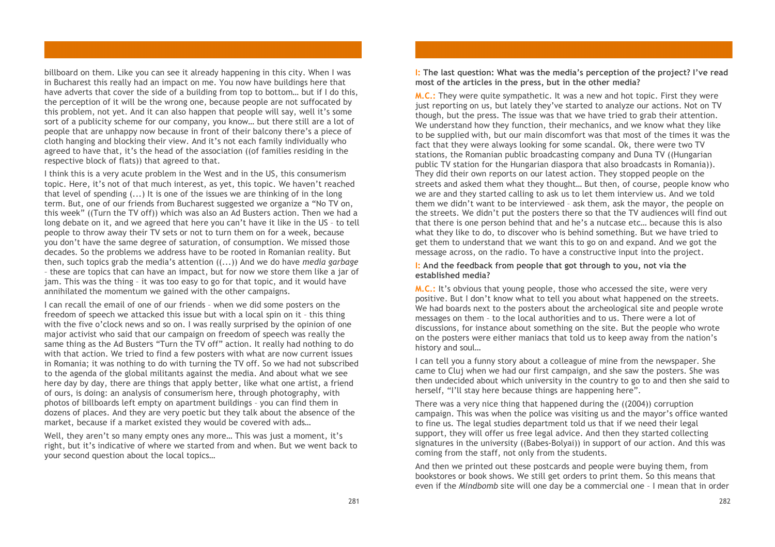billboard on them. Like you can see it already happening in this city. When I was in Bucharest this really had an impact on me. You now have buildings here that have adverts that cover the side of a building from top to bottom… but if I do this, the perception of it will be the wrong one, because people are not suffocated by this problem, not yet. And it can also happen that people will say, well it's some sort of a publicity scheme for our company, you know… but there still are a lot of people that are unhappy now because in front of their balcony there's a piece of cloth hanging and blocking their view. And it's not each family individually who agreed to have that, it's the head of the association ((of families residing in the respective block of flats)) that agreed to that.

I think this is a very acute problem in the West and in the US, this consumerism topic. Here, it's not of that much interest, as yet, this topic. We haven't reached that level of spending  $(...)$  It is one of the issues we are thinking of in the long term. But, one of our friends from Bucharest suggested we organize a "No TV on, this week" ((Turn the TV off)) which was also an Ad Busters action. Then we had a long debate on it, and we agreed that here you can't have it like in the US – to tell people to throw away their TV sets or not to turn them on for a week, because you don't have the same degree of saturation, of consumption. We missed those decades. So the problems we address have to be rooted in Romanian reality. But then, such topics grab the media's attention ((...)) And we do have *media garbage* – these are topics that can have an impact, but for now we store them like a jar of jam. This was the thing – it was too easy to go for that topic, and it would have annihilated the momentum we gained with the other campaigns.

I can recall the email of one of our friends – when we did some posters on the freedom of speech we attacked this issue but with a local spin on it – this thing with the five o'clock news and so on. I was really surprised by the opinion of one major activist who said that our campaign on freedom of speech was really the same thing as the Ad Busters "Turn the TV off" action. It really had nothing to do with that action. We tried to find a few posters with what are now current issues in Romania; it was nothing to do with turning the TV off. So we had not subscribed to the agenda of the global militants against the media. And about what we see here day by day, there are things that apply better, like what one artist, a friend of ours, is doing: an analysis of consumerism here, through photography, with photos of billboards left empty on apartment buildings – you can find them in dozens of places. And they are very poetic but they talk about the absence of the market, because if a market existed they would be covered with ads…

Well, they aren't so many empty ones any more... This was just a moment, it's right, but it's indicative of where we started from and when. But we went back to your second question about the local topics…

#### **I: The last question: What was the media's perception of the project? I've read most of the articles in the press, but in the other media?**

**M.C.:** They were quite sympathetic. It was a new and hot topic. First they were just reporting on us, but lately they've started to analyze our actions. Not on TV though, but the press. The issue was that we have tried to grab their attention. We understand how they function, their mechanics, and we know what they like to be supplied with, but our main discomfort was that most of the times it was the fact that they were always looking for some scandal. Ok, there were two TV stations, the Romanian public broadcasting company and Duna TV ((Hungarian public TV station for the Hungarian diaspora that also broadcasts in Romania)). They did their own reports on our latest action. They stopped people on the streets and asked them what they thought… But then, of course, people know who we are and they started calling to ask us to let them interview us. And we told them we didn't want to be interviewed – ask them, ask the mayor, the people on the streets. We didn't put the posters there so that the TV audiences will find out that there is one person behind that and he's a nutcase etc… because this is also what they like to do, to discover who is behind something. But we have tried to get them to understand that we want this to go on and expand. And we got the message across, on the radio. To have a constructive input into the project.

#### **I: And the feedback from people that got through to you, not via the established media?**

**M.C.:** It's obvious that young people, those who accessed the site, were very positive. But I don't know what to tell you about what happened on the streets. We had boards next to the posters about the archeological site and people wrote messages on them – to the local authorities and to us. There were a lot of discussions, for instance about something on the site. But the people who wrote on the posters were either maniacs that told us to keep away from the nation's history and soul…

I can tell you a funny story about a colleague of mine from the newspaper. She came to Cluj when we had our first campaign, and she saw the posters. She was then undecided about which university in the country to go to and then she said to herself, "I'll stay here because things are happening here".

There was a very nice thing that happened during the ((2004)) corruption campaign. This was when the police was visiting us and the mayor's office wanted to fine us. The legal studies department told us that if we need their legal support, they will offer us free legal advice. And then they started collecting signatures in the university ((Babes-Bolyai)) in support of our action. And this was coming from the staff, not only from the students.

And then we printed out these postcards and people were buying them, from bookstores or book shows. We still get orders to print them. So this means that even if the *Mindbomb* site will one day be a commercial one – I mean that in order